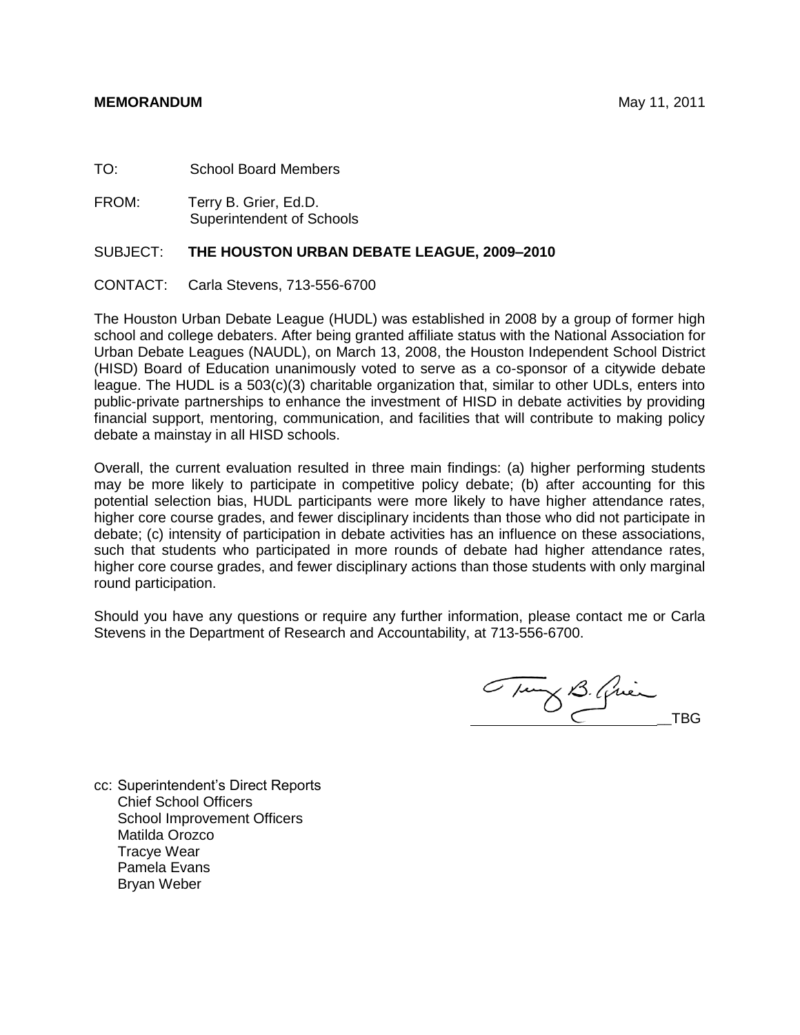#### **MEMORANDUM** May 11, 2011

TO: School Board Members

FROM: Terry B. Grier, Ed.D. Superintendent of Schools

#### SUBJECT: **THE HOUSTON URBAN DEBATE LEAGUE, 2009–2010**

CONTACT: Carla Stevens, 713-556-6700

The Houston Urban Debate League (HUDL) was established in 2008 by a group of former high school and college debaters. After being granted affiliate status with the National Association for Urban Debate Leagues (NAUDL), on March 13, 2008, the Houston Independent School District (HISD) Board of Education unanimously voted to serve as a co-sponsor of a citywide debate league. The HUDL is a 503(c)(3) charitable organization that, similar to other UDLs, enters into public-private partnerships to enhance the investment of HISD in debate activities by providing financial support, mentoring, communication, and facilities that will contribute to making policy debate a mainstay in all HISD schools.

Overall, the current evaluation resulted in three main findings: (a) higher performing students may be more likely to participate in competitive policy debate; (b) after accounting for this potential selection bias, HUDL participants were more likely to have higher attendance rates, higher core course grades, and fewer disciplinary incidents than those who did not participate in debate; (c) intensity of participation in debate activities has an influence on these associations, such that students who participated in more rounds of debate had higher attendance rates, higher core course grades, and fewer disciplinary actions than those students with only marginal round participation.

Should you have any questions or require any further information, please contact me or Carla Stevens in the Department of Research and Accountability, at 713-556-6700.

Tung B. Quin

cc: Superintendent's Direct Reports Chief School Officers School Improvement Officers Matilda Orozco Tracye Wear Pamela Evans Bryan Weber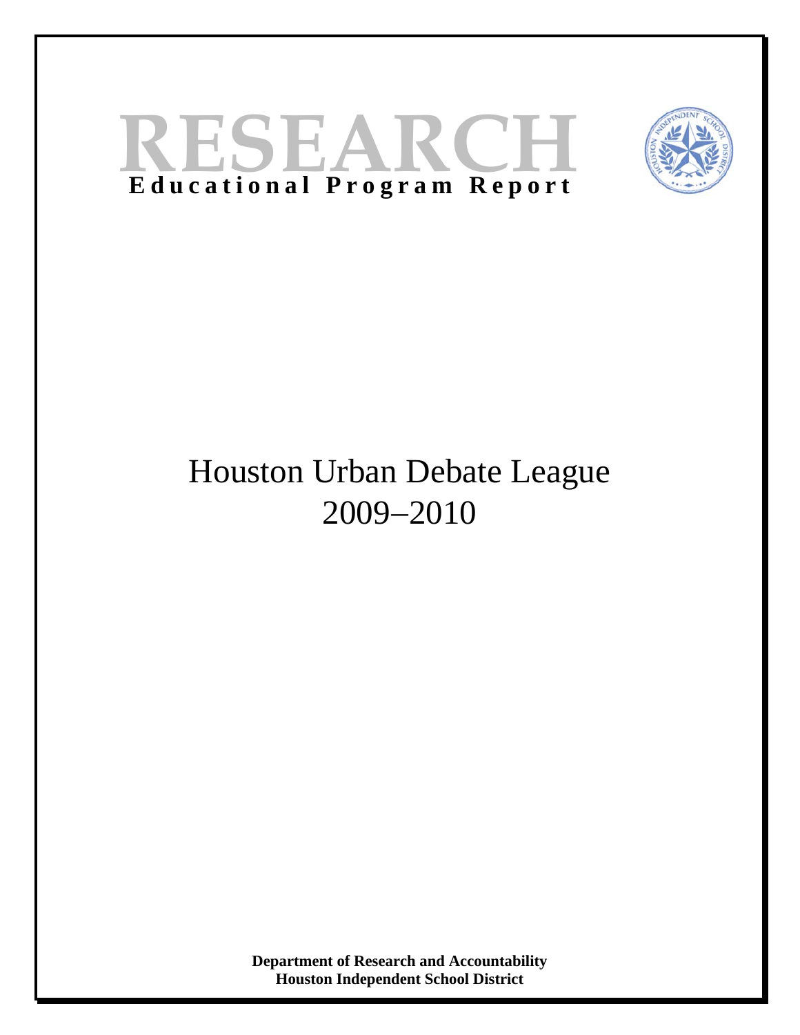# **RESEARC Educational Program Report**



# Houston Urban Debate League 2009-2010

**Department of Research and Accountability Houston Independent School District**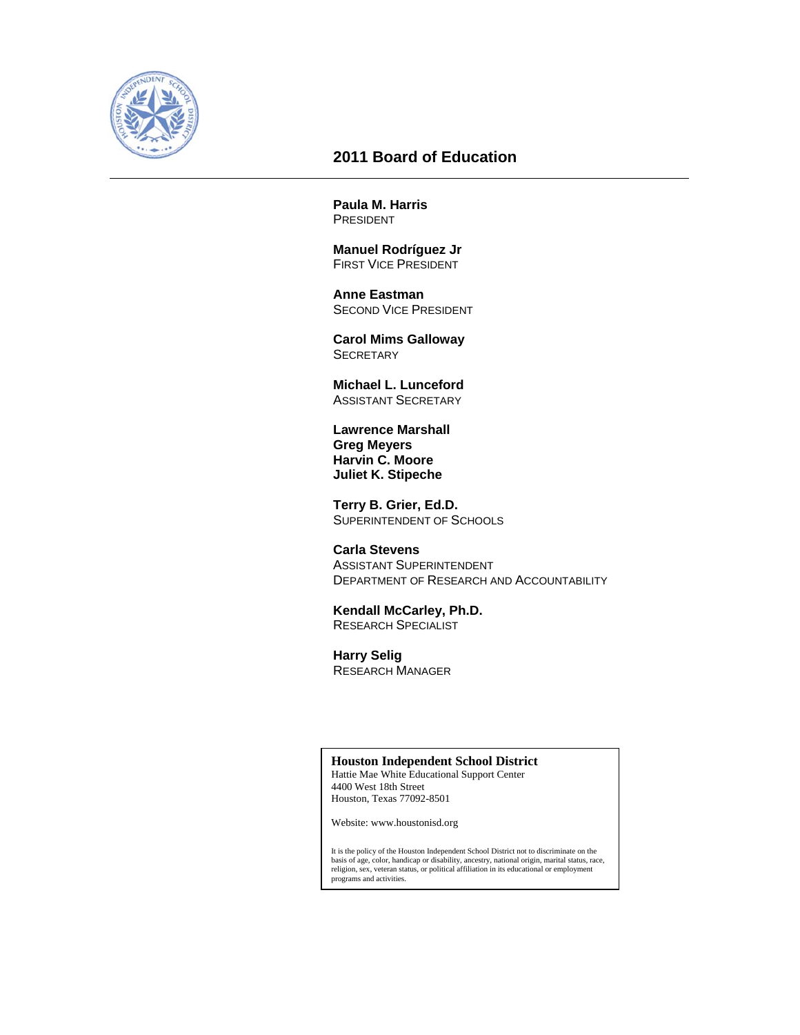

# **2011 Board of Education**

**Paula M. Harris**  PRESIDENT

 **Manuel Rodríguez Jr**  FIRST VICE PRESIDENT

 **Anne Eastman**  SECOND VICE PRESIDENT

 **Carol Mims Galloway SECRETARY** 

 **Michael L. Lunceford**  ASSISTANT SECRETARY

 **Lawrence Marshall Greg Meyers Harvin C. Moore Juliet K. Stipeche**

 **Terry B. Grier, Ed.D.**  SUPERINTENDENT OF SCHOOLS

 **Carla Stevens**  ASSISTANT SUPERINTENDENT DEPARTMENT OF RESEARCH AND ACCOUNTABILITY

#### **Kendall McCarley, Ph.D.**  RESEARCH SPECIALIST

 **Harry Selig** 

RESEARCH MANAGER

#### **Houston Independent School District**

Hattie Mae White Educational Support Center 4400 West 18th Street Houston, Texas 77092-8501

Website: www.houstonisd.org

It is the policy of the Houston Independent School District not to discriminate on the basis of age, color, handicap or disability, ancestry, national origin, marital status, race, religion, sex, veteran status, or political affiliation in its educational or employment programs and activities.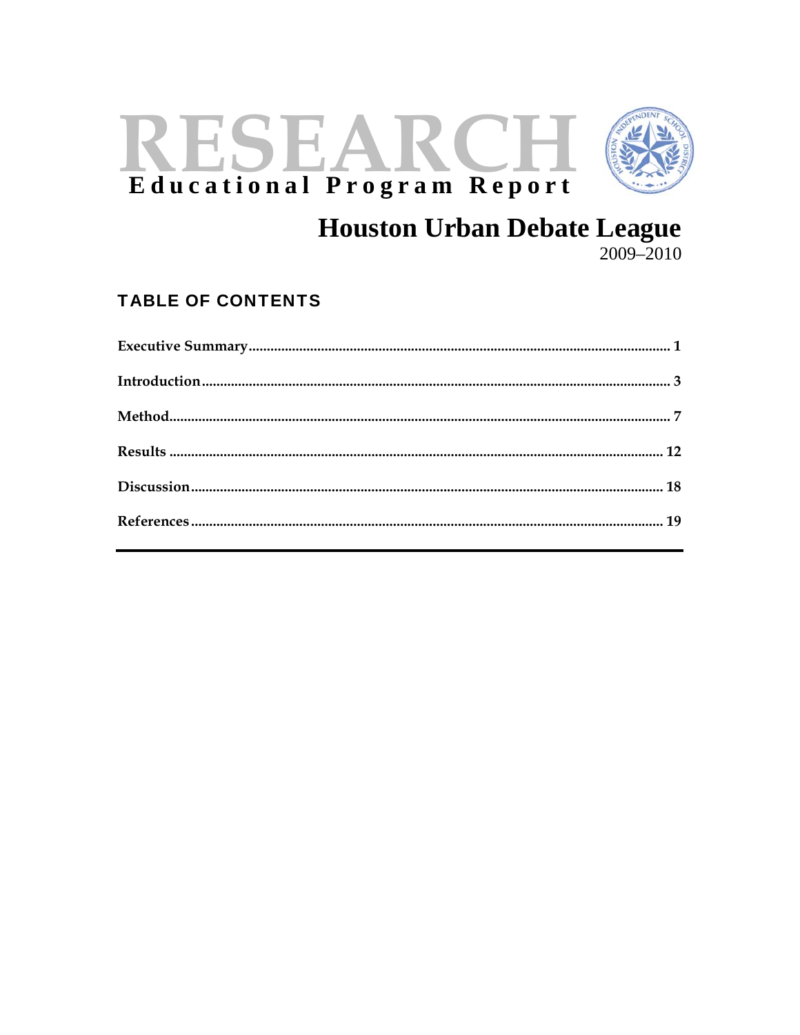# RESEARC Educational Program Report



# **Houston Urban Debate League**

 $2009 - 2010$ 

# **TABLE OF CONTENTS**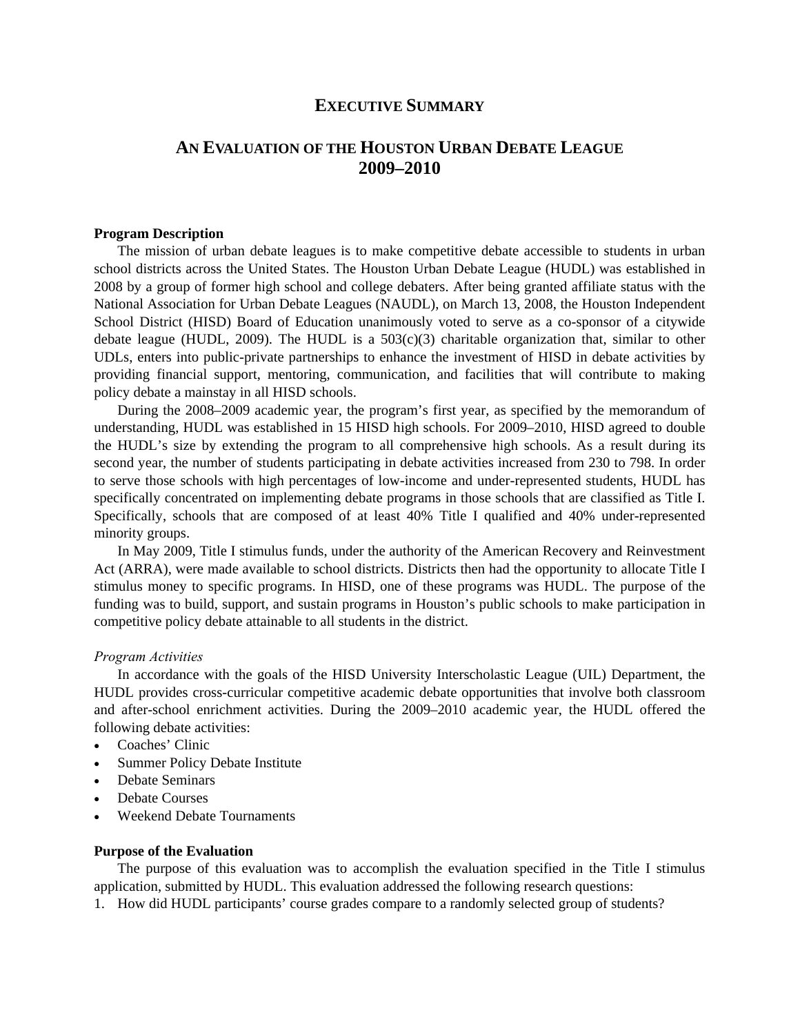# **EXECUTIVE SUMMARY**

# **AN EVALUATION OF THE HOUSTON URBAN DEBATE LEAGUE 2009–2010**

#### **Program Description**

The mission of urban debate leagues is to make competitive debate accessible to students in urban school districts across the United States. The Houston Urban Debate League (HUDL) was established in 2008 by a group of former high school and college debaters. After being granted affiliate status with the National Association for Urban Debate Leagues (NAUDL), on March 13, 2008, the Houston Independent School District (HISD) Board of Education unanimously voted to serve as a co-sponsor of a citywide debate league (HUDL, 2009). The HUDL is a  $503(c)(3)$  charitable organization that, similar to other UDLs, enters into public-private partnerships to enhance the investment of HISD in debate activities by providing financial support, mentoring, communication, and facilities that will contribute to making policy debate a mainstay in all HISD schools.

During the 2008–2009 academic year, the program's first year, as specified by the memorandum of understanding, HUDL was established in 15 HISD high schools. For 2009–2010, HISD agreed to double the HUDL's size by extending the program to all comprehensive high schools. As a result during its second year, the number of students participating in debate activities increased from 230 to 798. In order to serve those schools with high percentages of low-income and under-represented students, HUDL has specifically concentrated on implementing debate programs in those schools that are classified as Title I. Specifically, schools that are composed of at least 40% Title I qualified and 40% under-represented minority groups.

In May 2009, Title I stimulus funds, under the authority of the American Recovery and Reinvestment Act (ARRA), were made available to school districts. Districts then had the opportunity to allocate Title I stimulus money to specific programs. In HISD, one of these programs was HUDL. The purpose of the funding was to build, support, and sustain programs in Houston's public schools to make participation in competitive policy debate attainable to all students in the district.

#### *Program Activities*

In accordance with the goals of the HISD University Interscholastic League (UIL) Department, the HUDL provides cross-curricular competitive academic debate opportunities that involve both classroom and after-school enrichment activities. During the 2009–2010 academic year, the HUDL offered the following debate activities:

- Coaches' Clinic
- Summer Policy Debate Institute
- Debate Seminars
- Debate Courses
- Weekend Debate Tournaments

#### **Purpose of the Evaluation**

The purpose of this evaluation was to accomplish the evaluation specified in the Title I stimulus application, submitted by HUDL. This evaluation addressed the following research questions:

1. How did HUDL participants' course grades compare to a randomly selected group of students?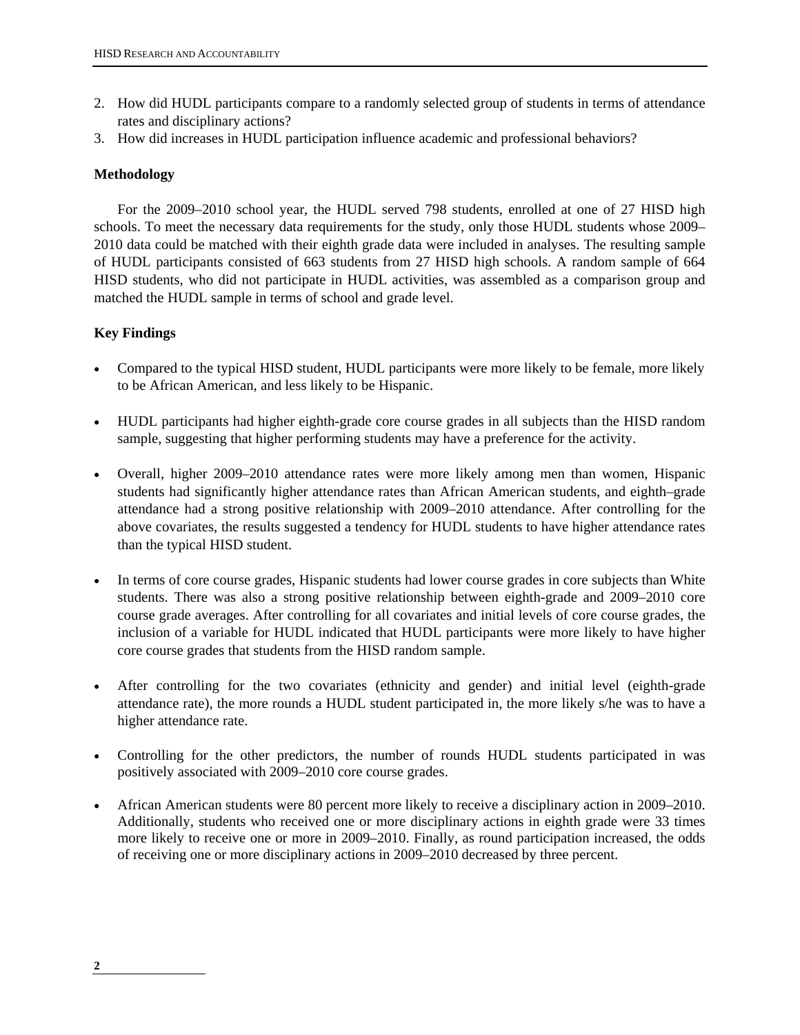- 2. How did HUDL participants compare to a randomly selected group of students in terms of attendance rates and disciplinary actions?
- 3. How did increases in HUDL participation influence academic and professional behaviors?

# **Methodology**

For the 2009–2010 school year, the HUDL served 798 students, enrolled at one of 27 HISD high schools. To meet the necessary data requirements for the study, only those HUDL students whose 2009– 2010 data could be matched with their eighth grade data were included in analyses. The resulting sample of HUDL participants consisted of 663 students from 27 HISD high schools. A random sample of 664 HISD students, who did not participate in HUDL activities, was assembled as a comparison group and matched the HUDL sample in terms of school and grade level.

# **Key Findings**

- Compared to the typical HISD student, HUDL participants were more likely to be female, more likely to be African American, and less likely to be Hispanic.
- HUDL participants had higher eighth-grade core course grades in all subjects than the HISD random sample, suggesting that higher performing students may have a preference for the activity.
- Overall, higher 2009–2010 attendance rates were more likely among men than women, Hispanic students had significantly higher attendance rates than African American students, and eighth–grade attendance had a strong positive relationship with 2009–2010 attendance. After controlling for the above covariates, the results suggested a tendency for HUDL students to have higher attendance rates than the typical HISD student.
- In terms of core course grades, Hispanic students had lower course grades in core subjects than White students. There was also a strong positive relationship between eighth-grade and 2009–2010 core course grade averages. After controlling for all covariates and initial levels of core course grades, the inclusion of a variable for HUDL indicated that HUDL participants were more likely to have higher core course grades that students from the HISD random sample.
- After controlling for the two covariates (ethnicity and gender) and initial level (eighth-grade attendance rate), the more rounds a HUDL student participated in, the more likely s/he was to have a higher attendance rate.
- Controlling for the other predictors, the number of rounds HUDL students participated in was positively associated with 2009–2010 core course grades.
- African American students were 80 percent more likely to receive a disciplinary action in 2009–2010. Additionally, students who received one or more disciplinary actions in eighth grade were 33 times more likely to receive one or more in 2009–2010. Finally, as round participation increased, the odds of receiving one or more disciplinary actions in 2009–2010 decreased by three percent.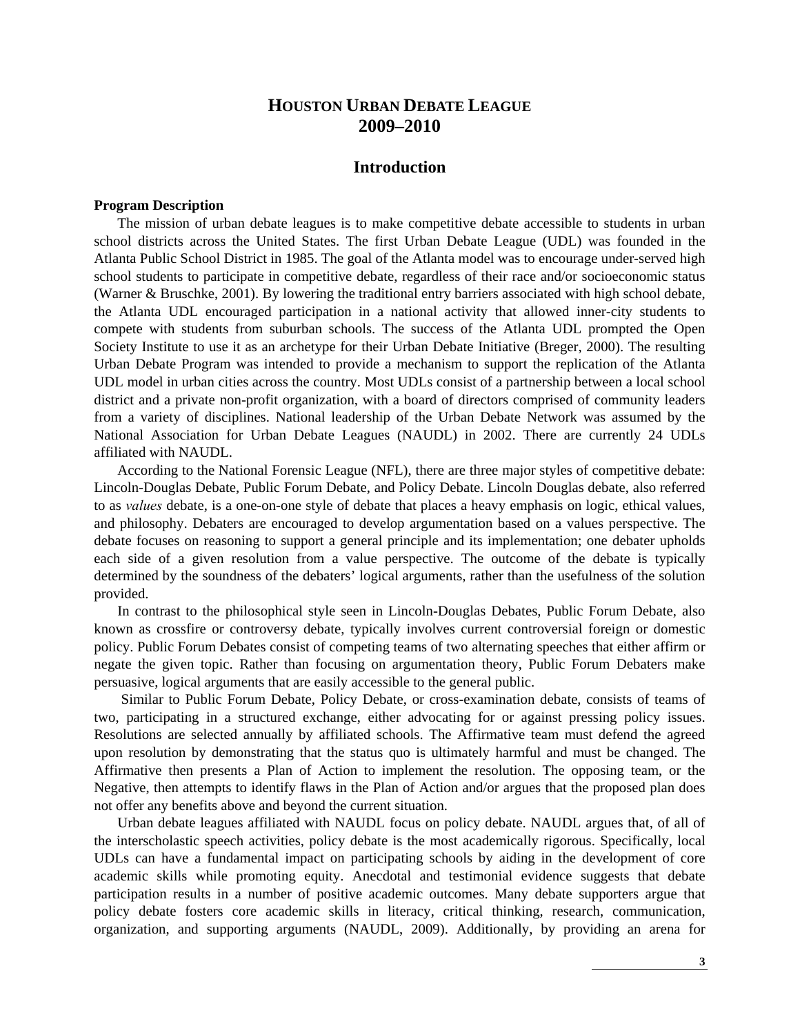# **HOUSTON URBAN DEBATE LEAGUE 2009–2010**

# **Introduction**

#### **Program Description**

The mission of urban debate leagues is to make competitive debate accessible to students in urban school districts across the United States. The first Urban Debate League (UDL) was founded in the Atlanta Public School District in 1985. The goal of the Atlanta model was to encourage under-served high school students to participate in competitive debate, regardless of their race and/or socioeconomic status (Warner & Bruschke, 2001). By lowering the traditional entry barriers associated with high school debate, the Atlanta UDL encouraged participation in a national activity that allowed inner-city students to compete with students from suburban schools. The success of the Atlanta UDL prompted the Open Society Institute to use it as an archetype for their Urban Debate Initiative (Breger, 2000). The resulting Urban Debate Program was intended to provide a mechanism to support the replication of the Atlanta UDL model in urban cities across the country. Most UDLs consist of a partnership between a local school district and a private non-profit organization, with a board of directors comprised of community leaders from a variety of disciplines. National leadership of the Urban Debate Network was assumed by the National Association for Urban Debate Leagues (NAUDL) in 2002. There are currently 24 UDLs affiliated with NAUDL.

According to the National Forensic League (NFL), there are three major styles of competitive debate: Lincoln-Douglas Debate, Public Forum Debate, and Policy Debate. Lincoln Douglas debate, also referred to as *values* debate, is a one-on-one style of debate that places a heavy emphasis on logic, ethical values, and philosophy. Debaters are encouraged to develop argumentation based on a values perspective. The debate focuses on reasoning to support a general principle and its implementation; one debater upholds each side of a given resolution from a value perspective. The outcome of the debate is typically determined by the soundness of the debaters' logical arguments, rather than the usefulness of the solution provided.

In contrast to the philosophical style seen in Lincoln-Douglas Debates, Public Forum Debate, also known as crossfire or controversy debate, typically involves current controversial foreign or domestic policy. Public Forum Debates consist of competing teams of two alternating speeches that either affirm or negate the given topic. Rather than focusing on argumentation theory, Public Forum Debaters make persuasive, logical arguments that are easily accessible to the general public.

 Similar to Public Forum Debate, Policy Debate, or cross-examination debate, consists of teams of two, participating in a structured exchange, either advocating for or against pressing policy issues. Resolutions are selected annually by affiliated schools. The Affirmative team must defend the agreed upon resolution by demonstrating that the status quo is ultimately harmful and must be changed. The Affirmative then presents a Plan of Action to implement the resolution. The opposing team, or the Negative, then attempts to identify flaws in the Plan of Action and/or argues that the proposed plan does not offer any benefits above and beyond the current situation.

Urban debate leagues affiliated with NAUDL focus on policy debate. NAUDL argues that, of all of the interscholastic speech activities, policy debate is the most academically rigorous. Specifically, local UDLs can have a fundamental impact on participating schools by aiding in the development of core academic skills while promoting equity. Anecdotal and testimonial evidence suggests that debate participation results in a number of positive academic outcomes. Many debate supporters argue that policy debate fosters core academic skills in literacy, critical thinking, research, communication, organization, and supporting arguments (NAUDL, 2009). Additionally, by providing an arena for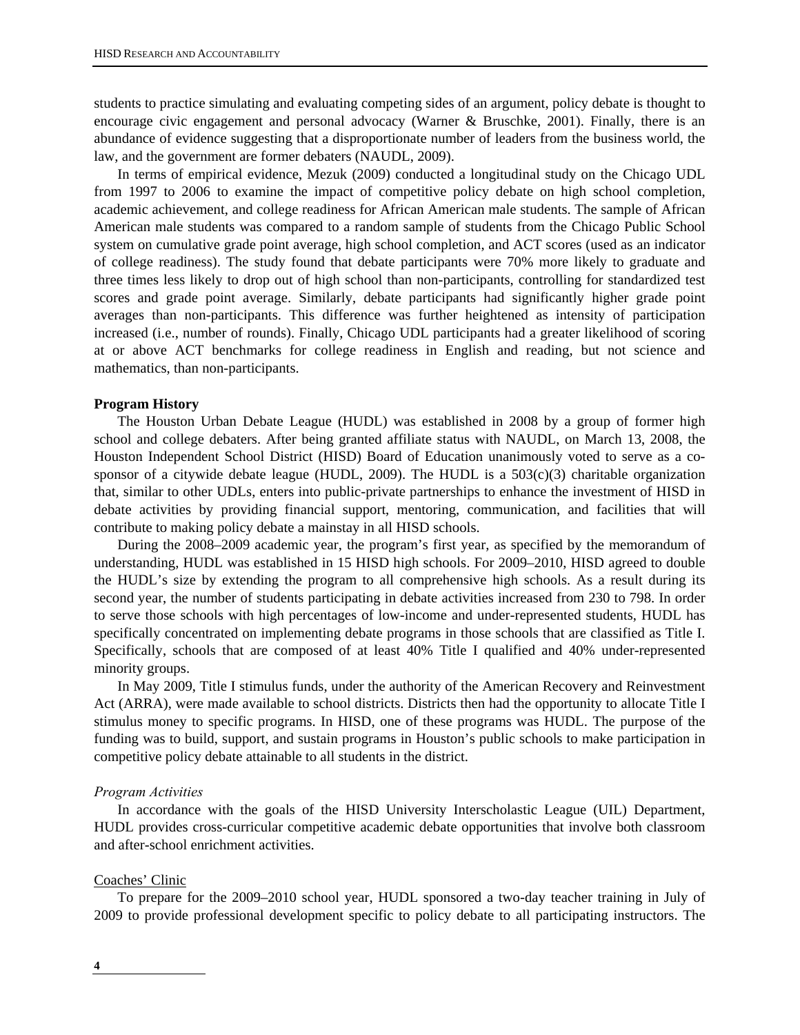students to practice simulating and evaluating competing sides of an argument, policy debate is thought to encourage civic engagement and personal advocacy (Warner & Bruschke, 2001). Finally, there is an abundance of evidence suggesting that a disproportionate number of leaders from the business world, the law, and the government are former debaters (NAUDL, 2009).

In terms of empirical evidence, Mezuk (2009) conducted a longitudinal study on the Chicago UDL from 1997 to 2006 to examine the impact of competitive policy debate on high school completion, academic achievement, and college readiness for African American male students. The sample of African American male students was compared to a random sample of students from the Chicago Public School system on cumulative grade point average, high school completion, and ACT scores (used as an indicator of college readiness). The study found that debate participants were 70% more likely to graduate and three times less likely to drop out of high school than non-participants, controlling for standardized test scores and grade point average. Similarly, debate participants had significantly higher grade point averages than non-participants. This difference was further heightened as intensity of participation increased (i.e., number of rounds). Finally, Chicago UDL participants had a greater likelihood of scoring at or above ACT benchmarks for college readiness in English and reading, but not science and mathematics, than non-participants.

#### **Program History**

The Houston Urban Debate League (HUDL) was established in 2008 by a group of former high school and college debaters. After being granted affiliate status with NAUDL, on March 13, 2008, the Houston Independent School District (HISD) Board of Education unanimously voted to serve as a cosponsor of a citywide debate league (HUDL, 2009). The HUDL is a 503(c)(3) charitable organization that, similar to other UDLs, enters into public-private partnerships to enhance the investment of HISD in debate activities by providing financial support, mentoring, communication, and facilities that will contribute to making policy debate a mainstay in all HISD schools.

During the 2008–2009 academic year, the program's first year, as specified by the memorandum of understanding, HUDL was established in 15 HISD high schools. For 2009–2010, HISD agreed to double the HUDL's size by extending the program to all comprehensive high schools. As a result during its second year, the number of students participating in debate activities increased from 230 to 798. In order to serve those schools with high percentages of low-income and under-represented students, HUDL has specifically concentrated on implementing debate programs in those schools that are classified as Title I. Specifically, schools that are composed of at least 40% Title I qualified and 40% under-represented minority groups.

In May 2009, Title I stimulus funds, under the authority of the American Recovery and Reinvestment Act (ARRA), were made available to school districts. Districts then had the opportunity to allocate Title I stimulus money to specific programs. In HISD, one of these programs was HUDL. The purpose of the funding was to build, support, and sustain programs in Houston's public schools to make participation in competitive policy debate attainable to all students in the district.

#### *Program Activities*

In accordance with the goals of the HISD University Interscholastic League (UIL) Department, HUDL provides cross-curricular competitive academic debate opportunities that involve both classroom and after-school enrichment activities.

#### Coaches' Clinic

To prepare for the 2009–2010 school year, HUDL sponsored a two-day teacher training in July of 2009 to provide professional development specific to policy debate to all participating instructors. The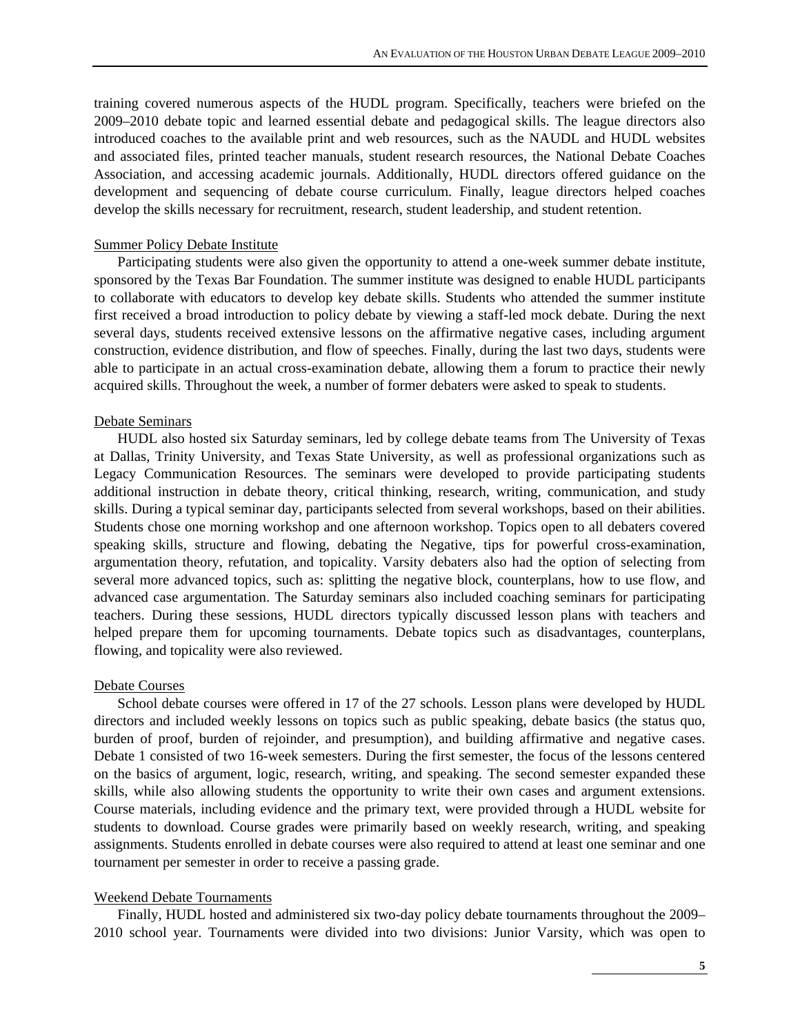training covered numerous aspects of the HUDL program. Specifically, teachers were briefed on the 2009–2010 debate topic and learned essential debate and pedagogical skills. The league directors also introduced coaches to the available print and web resources, such as the NAUDL and HUDL websites and associated files, printed teacher manuals, student research resources, the National Debate Coaches Association, and accessing academic journals. Additionally, HUDL directors offered guidance on the development and sequencing of debate course curriculum. Finally, league directors helped coaches develop the skills necessary for recruitment, research, student leadership, and student retention.

#### Summer Policy Debate Institute

Participating students were also given the opportunity to attend a one-week summer debate institute, sponsored by the Texas Bar Foundation. The summer institute was designed to enable HUDL participants to collaborate with educators to develop key debate skills. Students who attended the summer institute first received a broad introduction to policy debate by viewing a staff-led mock debate. During the next several days, students received extensive lessons on the affirmative negative cases, including argument construction, evidence distribution, and flow of speeches. Finally, during the last two days, students were able to participate in an actual cross-examination debate, allowing them a forum to practice their newly acquired skills. Throughout the week, a number of former debaters were asked to speak to students.

#### Debate Seminars

HUDL also hosted six Saturday seminars, led by college debate teams from The University of Texas at Dallas, Trinity University, and Texas State University, as well as professional organizations such as Legacy Communication Resources. The seminars were developed to provide participating students additional instruction in debate theory, critical thinking, research, writing, communication, and study skills. During a typical seminar day, participants selected from several workshops, based on their abilities. Students chose one morning workshop and one afternoon workshop. Topics open to all debaters covered speaking skills, structure and flowing, debating the Negative, tips for powerful cross-examination, argumentation theory, refutation, and topicality. Varsity debaters also had the option of selecting from several more advanced topics, such as: splitting the negative block, counterplans, how to use flow, and advanced case argumentation. The Saturday seminars also included coaching seminars for participating teachers. During these sessions, HUDL directors typically discussed lesson plans with teachers and helped prepare them for upcoming tournaments. Debate topics such as disadvantages, counterplans, flowing, and topicality were also reviewed.

#### Debate Courses

School debate courses were offered in 17 of the 27 schools. Lesson plans were developed by HUDL directors and included weekly lessons on topics such as public speaking, debate basics (the status quo, burden of proof, burden of rejoinder, and presumption), and building affirmative and negative cases. Debate 1 consisted of two 16-week semesters. During the first semester, the focus of the lessons centered on the basics of argument, logic, research, writing, and speaking. The second semester expanded these skills, while also allowing students the opportunity to write their own cases and argument extensions. Course materials, including evidence and the primary text, were provided through a HUDL website for students to download. Course grades were primarily based on weekly research, writing, and speaking assignments. Students enrolled in debate courses were also required to attend at least one seminar and one tournament per semester in order to receive a passing grade.

#### Weekend Debate Tournaments

Finally, HUDL hosted and administered six two-day policy debate tournaments throughout the 2009– 2010 school year. Tournaments were divided into two divisions: Junior Varsity, which was open to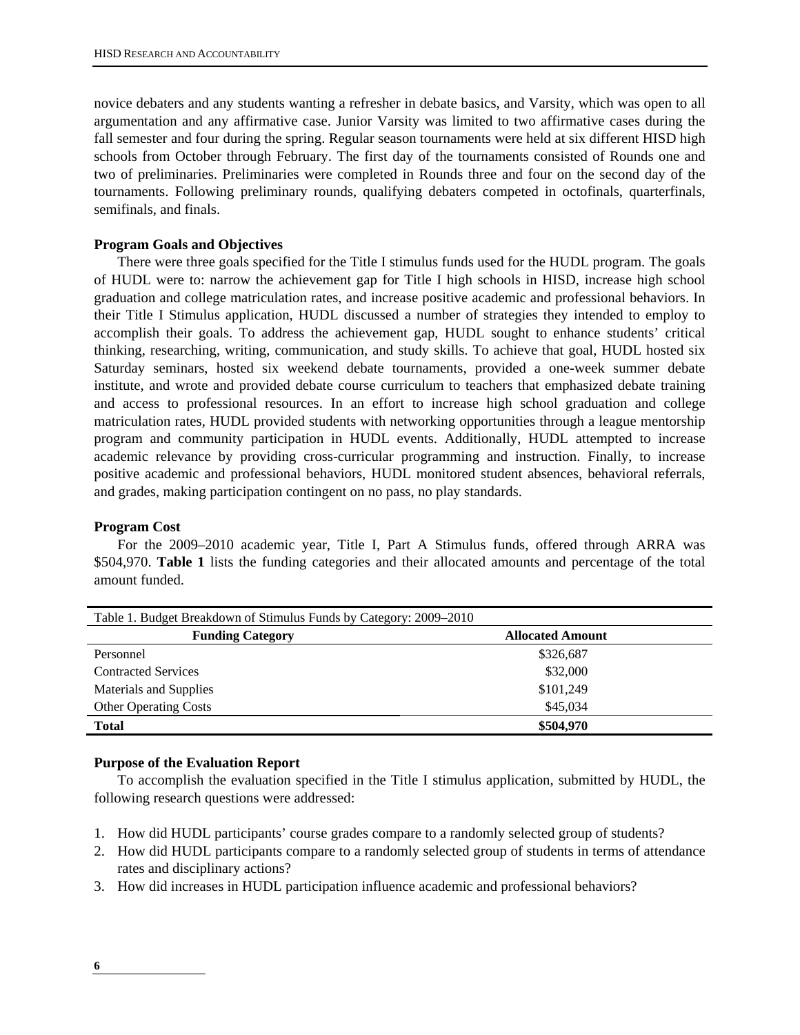novice debaters and any students wanting a refresher in debate basics, and Varsity, which was open to all argumentation and any affirmative case. Junior Varsity was limited to two affirmative cases during the fall semester and four during the spring. Regular season tournaments were held at six different HISD high schools from October through February. The first day of the tournaments consisted of Rounds one and two of preliminaries. Preliminaries were completed in Rounds three and four on the second day of the tournaments. Following preliminary rounds, qualifying debaters competed in octofinals, quarterfinals, semifinals, and finals.

#### **Program Goals and Objectives**

There were three goals specified for the Title I stimulus funds used for the HUDL program. The goals of HUDL were to: narrow the achievement gap for Title I high schools in HISD, increase high school graduation and college matriculation rates, and increase positive academic and professional behaviors. In their Title I Stimulus application, HUDL discussed a number of strategies they intended to employ to accomplish their goals. To address the achievement gap, HUDL sought to enhance students' critical thinking, researching, writing, communication, and study skills. To achieve that goal, HUDL hosted six Saturday seminars, hosted six weekend debate tournaments, provided a one-week summer debate institute, and wrote and provided debate course curriculum to teachers that emphasized debate training and access to professional resources. In an effort to increase high school graduation and college matriculation rates, HUDL provided students with networking opportunities through a league mentorship program and community participation in HUDL events. Additionally, HUDL attempted to increase academic relevance by providing cross-curricular programming and instruction. Finally, to increase positive academic and professional behaviors, HUDL monitored student absences, behavioral referrals, and grades, making participation contingent on no pass, no play standards.

#### **Program Cost**

For the 2009–2010 academic year, Title I, Part A Stimulus funds, offered through ARRA was \$504,970. **Table 1** lists the funding categories and their allocated amounts and percentage of the total amount funded.

| Table 1. Budget Breakdown of Stimulus Funds by Category: 2009–2010 |                         |
|--------------------------------------------------------------------|-------------------------|
| <b>Funding Category</b>                                            | <b>Allocated Amount</b> |
| Personnel                                                          | \$326,687               |
| <b>Contracted Services</b>                                         | \$32,000                |
| Materials and Supplies                                             | \$101,249               |
| <b>Other Operating Costs</b>                                       | \$45,034                |
| <b>Total</b>                                                       | \$504,970               |

#### **Purpose of the Evaluation Report**

To accomplish the evaluation specified in the Title I stimulus application, submitted by HUDL, the following research questions were addressed:

- 1. How did HUDL participants' course grades compare to a randomly selected group of students?
- 2. How did HUDL participants compare to a randomly selected group of students in terms of attendance rates and disciplinary actions?
- 3. How did increases in HUDL participation influence academic and professional behaviors?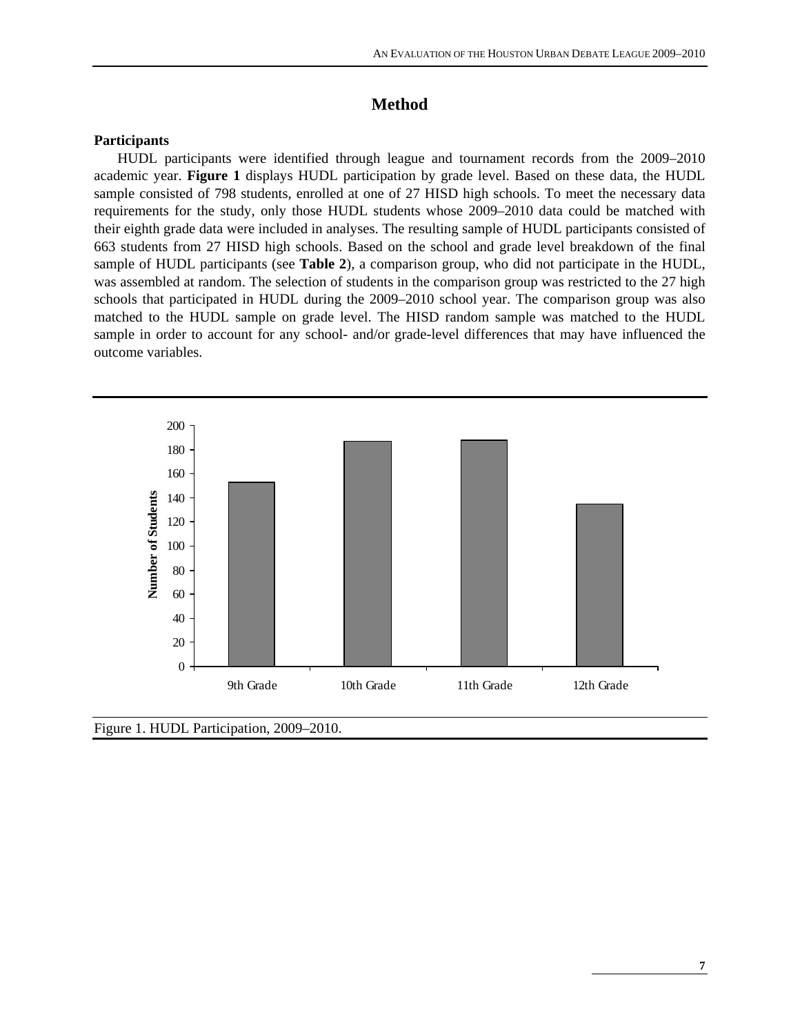# **Method**

#### **Participants**

HUDL participants were identified through league and tournament records from the 2009–2010 academic year. **Figure 1** displays HUDL participation by grade level. Based on these data, the HUDL sample consisted of 798 students, enrolled at one of 27 HISD high schools. To meet the necessary data requirements for the study, only those HUDL students whose 2009–2010 data could be matched with their eighth grade data were included in analyses. The resulting sample of HUDL participants consisted of 663 students from 27 HISD high schools. Based on the school and grade level breakdown of the final sample of HUDL participants (see **Table 2**), a comparison group, who did not participate in the HUDL, was assembled at random. The selection of students in the comparison group was restricted to the 27 high schools that participated in HUDL during the 2009–2010 school year. The comparison group was also matched to the HUDL sample on grade level. The HISD random sample was matched to the HUDL sample in order to account for any school- and/or grade-level differences that may have influenced the outcome variables.



Figure 1. HUDL Participation, 2009–2010.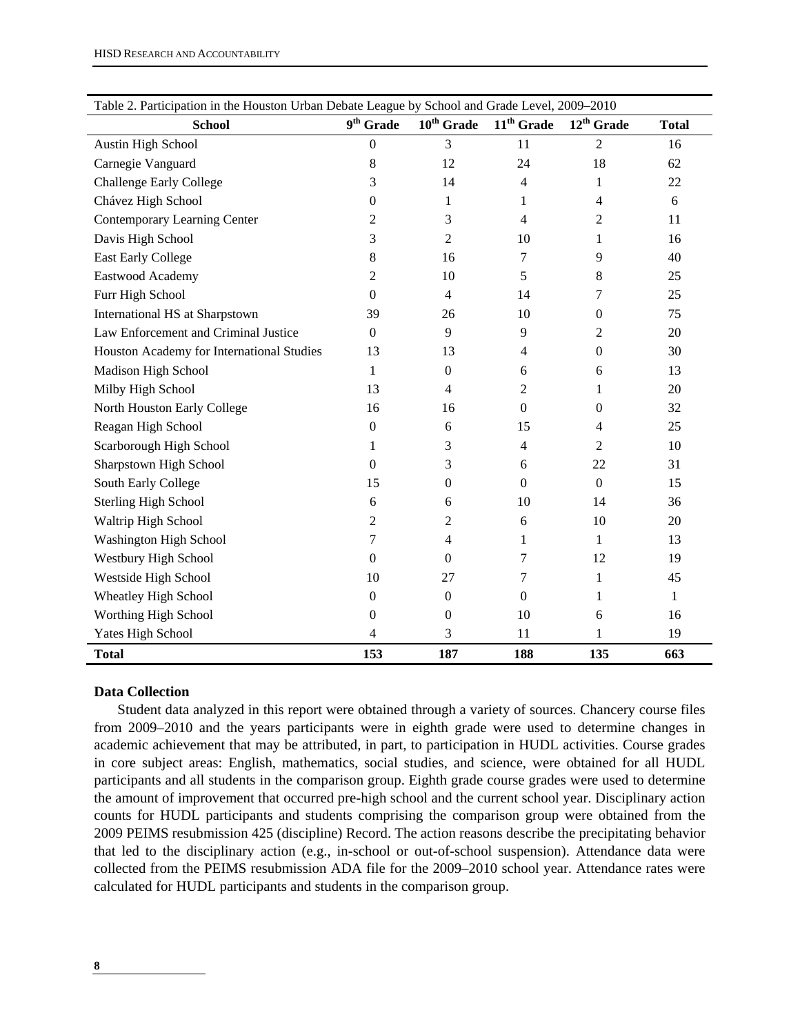| Table 2. Participation in the Houston Urban Debate League by School and Grade Level, 2009-2010 |                       |                        |                  |                        |              |
|------------------------------------------------------------------------------------------------|-----------------------|------------------------|------------------|------------------------|--------------|
| <b>School</b>                                                                                  | $9^{\text{th}}$ Grade | $10^{\text{th}}$ Grade | $11th$ Grade     | 12 <sup>th</sup> Grade | <b>Total</b> |
| <b>Austin High School</b>                                                                      | $\mathbf{0}$          | 3                      | 11               | $\overline{2}$         | 16           |
| Carnegie Vanguard                                                                              | 8                     | 12                     | 24               | 18                     | 62           |
| <b>Challenge Early College</b>                                                                 | 3                     | 14                     | 4                | 1                      | 22           |
| Chávez High School                                                                             | $\theta$              | 1                      | 1                | $\overline{4}$         | 6            |
| Contemporary Learning Center                                                                   | 2                     | 3                      | 4                | 2                      | 11           |
| Davis High School                                                                              | 3                     | 2                      | 10               | 1                      | 16           |
| <b>East Early College</b>                                                                      | 8                     | 16                     | $\overline{7}$   | 9                      | 40           |
| Eastwood Academy                                                                               | 2                     | 10                     | 5                | 8                      | 25           |
| Furr High School                                                                               | $\Omega$              | $\overline{4}$         | 14               | 7                      | 25           |
| International HS at Sharpstown                                                                 | 39                    | 26                     | 10               | $\theta$               | 75           |
| Law Enforcement and Criminal Justice                                                           | $\theta$              | 9                      | 9                | 2                      | 20           |
| Houston Academy for International Studies                                                      | 13                    | 13                     | 4                | $\boldsymbol{0}$       | 30           |
| Madison High School                                                                            | 1                     | $\mathbf{0}$           | 6                | 6                      | 13           |
| Milby High School                                                                              | 13                    | $\overline{4}$         | 2                | 1                      | 20           |
| North Houston Early College                                                                    | 16                    | 16                     | $\Omega$         | $\Omega$               | 32           |
| Reagan High School                                                                             | $\boldsymbol{0}$      | 6                      | 15               | 4                      | 25           |
| Scarborough High School                                                                        | 1                     | 3                      | 4                | 2                      | 10           |
| Sharpstown High School                                                                         | $\theta$              | 3                      | 6                | 22                     | 31           |
| South Early College                                                                            | 15                    | $\mathbf{0}$           | $\overline{0}$   | $\mathbf{0}$           | 15           |
| <b>Sterling High School</b>                                                                    | 6                     | 6                      | 10               | 14                     | 36           |
| Waltrip High School                                                                            | $\overline{c}$        | 2                      | 6                | 10                     | 20           |
| Washington High School                                                                         | 7                     | 4                      | 1                | $\mathbf{1}$           | 13           |
| Westbury High School                                                                           | $\mathbf{0}$          | $\Omega$               | 7                | 12                     | 19           |
| Westside High School                                                                           | 10                    | 27                     | 7                | 1                      | 45           |
| <b>Wheatley High School</b>                                                                    | $\mathbf{0}$          | $\mathbf{0}$           | $\boldsymbol{0}$ | 1                      | 1            |
| Worthing High School                                                                           | $\theta$              | 0                      | 10               | 6                      | 16           |
| Yates High School                                                                              | 4                     | 3                      | 11               | 1                      | 19           |
| <b>Total</b>                                                                                   | 153                   | 187                    | 188              | 135                    | 663          |

#### **Data Collection**

Student data analyzed in this report were obtained through a variety of sources. Chancery course files from 2009–2010 and the years participants were in eighth grade were used to determine changes in academic achievement that may be attributed, in part, to participation in HUDL activities. Course grades in core subject areas: English, mathematics, social studies, and science, were obtained for all HUDL participants and all students in the comparison group. Eighth grade course grades were used to determine the amount of improvement that occurred pre-high school and the current school year. Disciplinary action counts for HUDL participants and students comprising the comparison group were obtained from the 2009 PEIMS resubmission 425 (discipline) Record. The action reasons describe the precipitating behavior that led to the disciplinary action (e.g., in-school or out-of-school suspension). Attendance data were collected from the PEIMS resubmission ADA file for the 2009–2010 school year. Attendance rates were calculated for HUDL participants and students in the comparison group.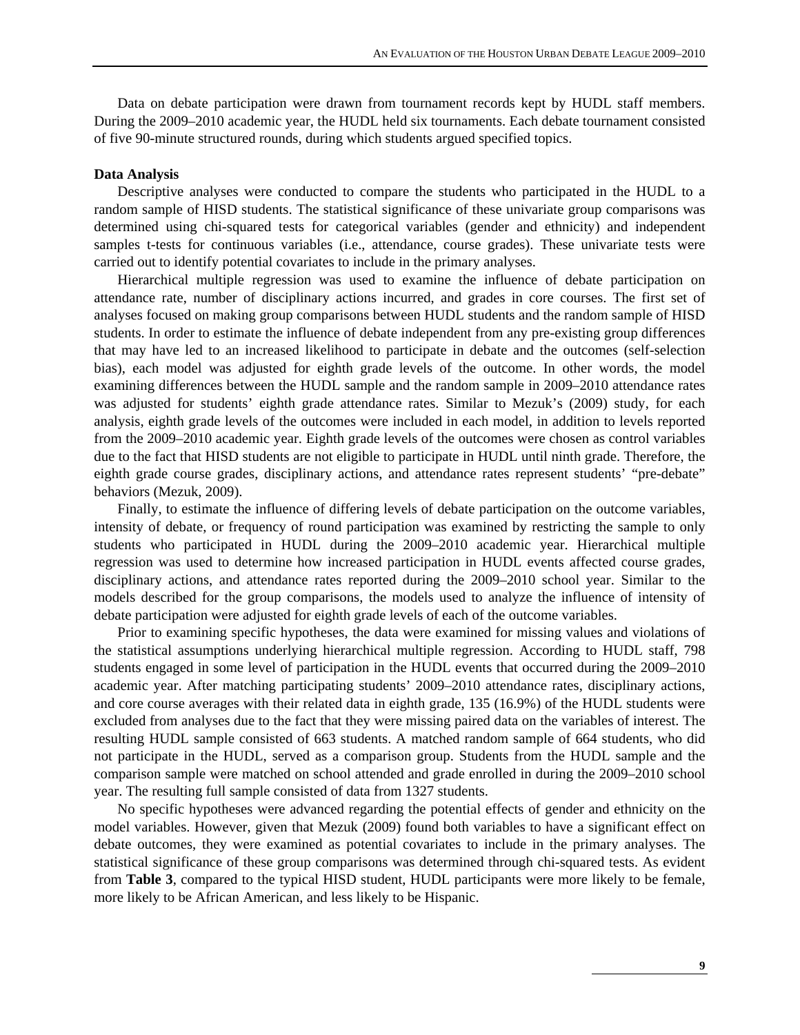Data on debate participation were drawn from tournament records kept by HUDL staff members. During the 2009–2010 academic year, the HUDL held six tournaments. Each debate tournament consisted of five 90-minute structured rounds, during which students argued specified topics.

#### **Data Analysis**

Descriptive analyses were conducted to compare the students who participated in the HUDL to a random sample of HISD students. The statistical significance of these univariate group comparisons was determined using chi-squared tests for categorical variables (gender and ethnicity) and independent samples t-tests for continuous variables (i.e., attendance, course grades). These univariate tests were carried out to identify potential covariates to include in the primary analyses.

Hierarchical multiple regression was used to examine the influence of debate participation on attendance rate, number of disciplinary actions incurred, and grades in core courses. The first set of analyses focused on making group comparisons between HUDL students and the random sample of HISD students. In order to estimate the influence of debate independent from any pre-existing group differences that may have led to an increased likelihood to participate in debate and the outcomes (self-selection bias), each model was adjusted for eighth grade levels of the outcome. In other words, the model examining differences between the HUDL sample and the random sample in 2009–2010 attendance rates was adjusted for students' eighth grade attendance rates. Similar to Mezuk's (2009) study, for each analysis, eighth grade levels of the outcomes were included in each model, in addition to levels reported from the 2009–2010 academic year. Eighth grade levels of the outcomes were chosen as control variables due to the fact that HISD students are not eligible to participate in HUDL until ninth grade. Therefore, the eighth grade course grades, disciplinary actions, and attendance rates represent students' "pre-debate" behaviors (Mezuk, 2009).

Finally, to estimate the influence of differing levels of debate participation on the outcome variables, intensity of debate, or frequency of round participation was examined by restricting the sample to only students who participated in HUDL during the 2009–2010 academic year. Hierarchical multiple regression was used to determine how increased participation in HUDL events affected course grades, disciplinary actions, and attendance rates reported during the 2009–2010 school year. Similar to the models described for the group comparisons, the models used to analyze the influence of intensity of debate participation were adjusted for eighth grade levels of each of the outcome variables.

Prior to examining specific hypotheses, the data were examined for missing values and violations of the statistical assumptions underlying hierarchical multiple regression. According to HUDL staff, 798 students engaged in some level of participation in the HUDL events that occurred during the 2009–2010 academic year. After matching participating students' 2009–2010 attendance rates, disciplinary actions, and core course averages with their related data in eighth grade, 135 (16.9%) of the HUDL students were excluded from analyses due to the fact that they were missing paired data on the variables of interest. The resulting HUDL sample consisted of 663 students. A matched random sample of 664 students, who did not participate in the HUDL, served as a comparison group. Students from the HUDL sample and the comparison sample were matched on school attended and grade enrolled in during the 2009–2010 school year. The resulting full sample consisted of data from 1327 students.

No specific hypotheses were advanced regarding the potential effects of gender and ethnicity on the model variables. However, given that Mezuk (2009) found both variables to have a significant effect on debate outcomes, they were examined as potential covariates to include in the primary analyses. The statistical significance of these group comparisons was determined through chi-squared tests. As evident from **Table 3**, compared to the typical HISD student, HUDL participants were more likely to be female, more likely to be African American, and less likely to be Hispanic.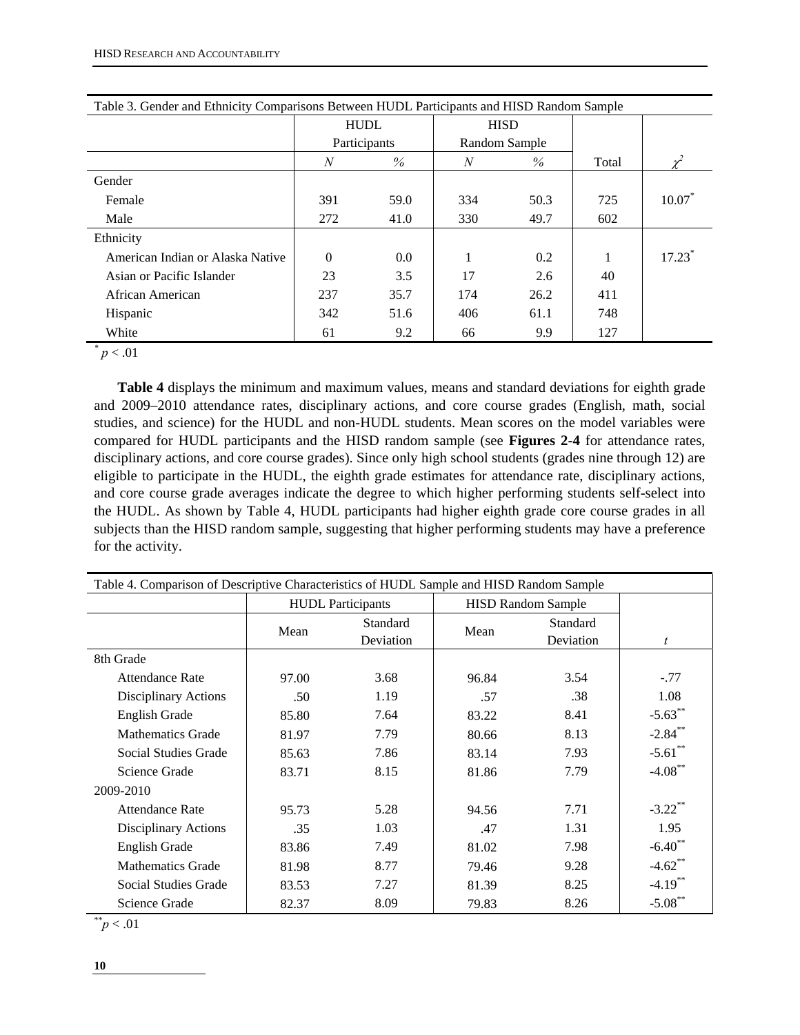| Table 3. Gender and Ethnicity Comparisons Between HUDL Participants and HISD Random Sample |          |              |     |               |       |          |
|--------------------------------------------------------------------------------------------|----------|--------------|-----|---------------|-------|----------|
|                                                                                            |          | <b>HUDL</b>  |     | <b>HISD</b>   |       |          |
|                                                                                            |          | Participants |     | Random Sample |       |          |
|                                                                                            | N        | $\%$         | N   | $\%$          | Total |          |
| Gender                                                                                     |          |              |     |               |       |          |
| Female                                                                                     | 391      | 59.0         | 334 | 50.3          | 725   | $10.07*$ |
| Male                                                                                       | 272      | 41.0         | 330 | 49.7          | 602   |          |
| Ethnicity                                                                                  |          |              |     |               |       |          |
| American Indian or Alaska Native                                                           | $\Omega$ | 0.0          |     | 0.2           |       | $17.23*$ |
| Asian or Pacific Islander                                                                  | 23       | 3.5          | 17  | 2.6           | 40    |          |
| African American                                                                           | 237      | 35.7         | 174 | 26.2          | 411   |          |
| Hispanic                                                                                   | 342      | 51.6         | 406 | 61.1          | 748   |          |
| White                                                                                      | 61       | 9.2          | 66  | 9.9           | 127   |          |

 $^{*}p < .01$ 

**Table 4** displays the minimum and maximum values, means and standard deviations for eighth grade and 2009–2010 attendance rates, disciplinary actions, and core course grades (English, math, social studies, and science) for the HUDL and non-HUDL students. Mean scores on the model variables were compared for HUDL participants and the HISD random sample (see **Figures 2-4** for attendance rates, disciplinary actions, and core course grades). Since only high school students (grades nine through 12) are eligible to participate in the HUDL, the eighth grade estimates for attendance rate, disciplinary actions, and core course grade averages indicate the degree to which higher performing students self-select into the HUDL. As shown by Table 4, HUDL participants had higher eighth grade core course grades in all subjects than the HISD random sample, suggesting that higher performing students may have a preference for the activity.

| Table 4. Comparison of Descriptive Characteristics of HUDL Sample and HISD Random Sample |       |                          |       |                           |            |  |  |  |  |  |
|------------------------------------------------------------------------------------------|-------|--------------------------|-------|---------------------------|------------|--|--|--|--|--|
|                                                                                          |       | <b>HUDL</b> Participants |       | <b>HISD Random Sample</b> |            |  |  |  |  |  |
|                                                                                          | Mean  | Standard                 | Mean  | Standard                  |            |  |  |  |  |  |
|                                                                                          |       | Deviation                |       | Deviation                 | t          |  |  |  |  |  |
| 8th Grade                                                                                |       |                          |       |                           |            |  |  |  |  |  |
| <b>Attendance Rate</b>                                                                   | 97.00 | 3.68                     | 96.84 | 3.54                      | $-.77$     |  |  |  |  |  |
| Disciplinary Actions                                                                     | .50   | 1.19                     | .57   | .38                       | 1.08       |  |  |  |  |  |
| English Grade                                                                            | 85.80 | 7.64                     | 83.22 | 8.41                      | $-5.63$ ** |  |  |  |  |  |
| <b>Mathematics Grade</b>                                                                 | 81.97 | 7.79                     | 80.66 | 8.13                      | $-2.84$ ** |  |  |  |  |  |
| Social Studies Grade                                                                     | 85.63 | 7.86                     | 83.14 | 7.93                      | $-5.61$ ** |  |  |  |  |  |
| Science Grade                                                                            | 83.71 | 8.15                     | 81.86 | 7.79                      | $-4.08$ ** |  |  |  |  |  |
| 2009-2010                                                                                |       |                          |       |                           |            |  |  |  |  |  |
| <b>Attendance Rate</b>                                                                   | 95.73 | 5.28                     | 94.56 | 7.71                      | $-3.22$ ** |  |  |  |  |  |
| Disciplinary Actions                                                                     | .35   | 1.03                     | .47   | 1.31                      | 1.95       |  |  |  |  |  |
| English Grade                                                                            | 83.86 | 7.49                     | 81.02 | 7.98                      | $-6.40$ ** |  |  |  |  |  |
| <b>Mathematics Grade</b>                                                                 | 81.98 | 8.77                     | 79.46 | 9.28                      | $-4.62$ ** |  |  |  |  |  |
| Social Studies Grade                                                                     | 83.53 | 7.27                     | 81.39 | 8.25                      | $-4.19$ ** |  |  |  |  |  |
| Science Grade                                                                            | 82.37 | 8.09                     | 79.83 | 8.26                      | $-5.08$ ** |  |  |  |  |  |

\*\**p* < .01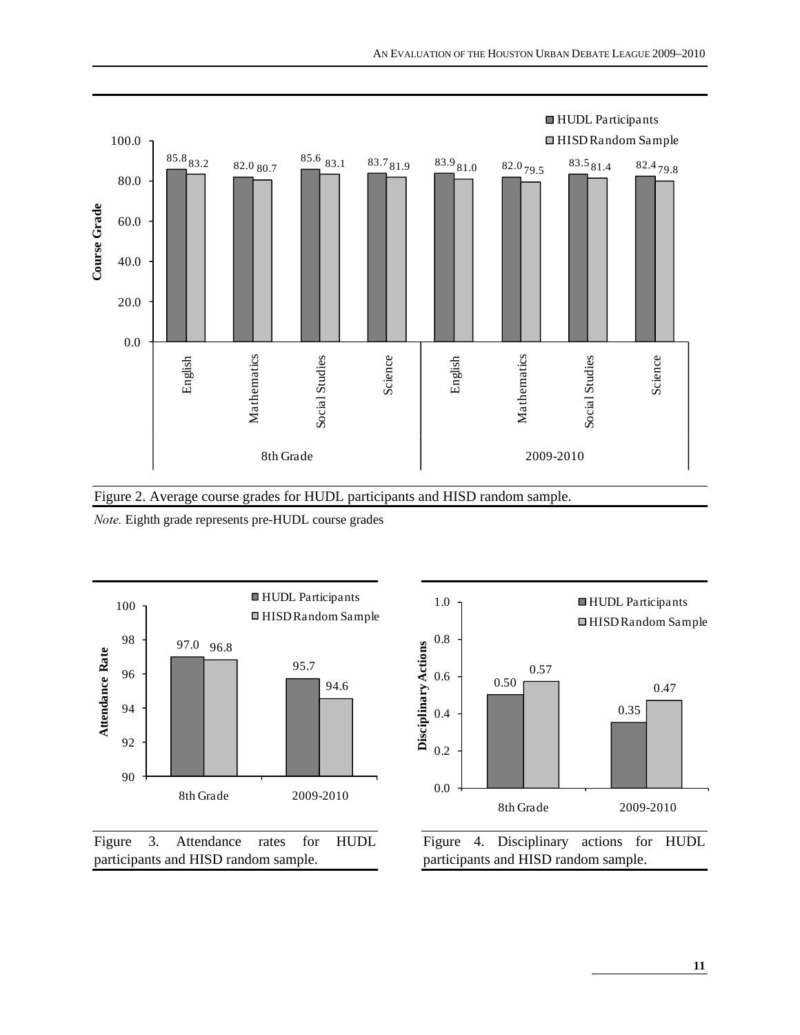

Figure 2. Average course grades for HUDL participants and HISD random sample. *Note.* Eighth grade represents pre-HUDL course grades







participants and HISD random sample.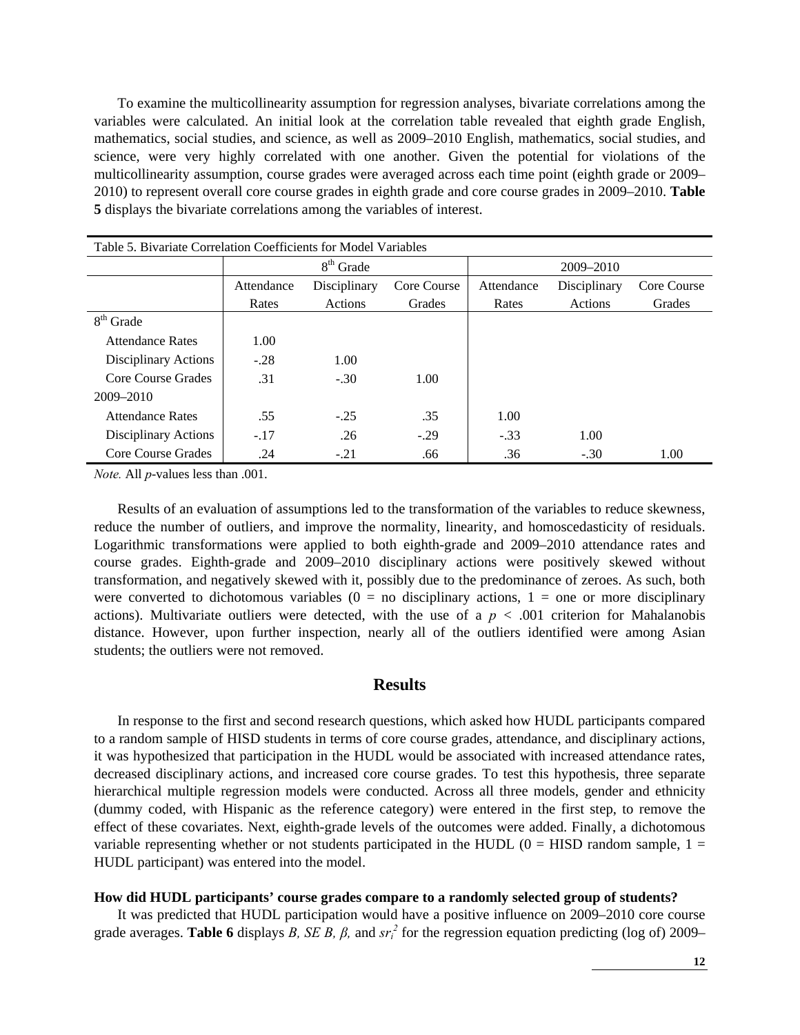To examine the multicollinearity assumption for regression analyses, bivariate correlations among the variables were calculated. An initial look at the correlation table revealed that eighth grade English, mathematics, social studies, and science, as well as 2009–2010 English, mathematics, social studies, and science, were very highly correlated with one another. Given the potential for violations of the multicollinearity assumption, course grades were averaged across each time point (eighth grade or 2009– 2010) to represent overall core course grades in eighth grade and core course grades in 2009–2010. **Table 5** displays the bivariate correlations among the variables of interest.

| Table 5. Bivariate Correlation Coefficients for Model Variables |            |              |             |            |              |             |
|-----------------------------------------------------------------|------------|--------------|-------------|------------|--------------|-------------|
|                                                                 |            | $8th$ Grade  |             |            | 2009-2010    |             |
|                                                                 | Attendance | Disciplinary | Core Course | Attendance | Disciplinary | Core Course |
|                                                                 | Rates      | Actions      | Grades      | Rates      | Actions      | Grades      |
| $8th$ Grade                                                     |            |              |             |            |              |             |
| <b>Attendance Rates</b>                                         | 1.00       |              |             |            |              |             |
| Disciplinary Actions                                            | $-.28$     | 1.00         |             |            |              |             |
| Core Course Grades                                              | .31        | $-.30$       | 1.00        |            |              |             |
| 2009-2010                                                       |            |              |             |            |              |             |
| <b>Attendance Rates</b>                                         | .55        | $-.25$       | .35         | 1.00       |              |             |
| Disciplinary Actions                                            | $-.17$     | .26          | $-.29$      | $-.33$     | 1.00         |             |
| Core Course Grades                                              | .24        | $-.21$       | .66         | .36        | $-.30$       | 1.00        |

*Note.* All *p*-values less than .001.

Results of an evaluation of assumptions led to the transformation of the variables to reduce skewness, reduce the number of outliers, and improve the normality, linearity, and homoscedasticity of residuals. Logarithmic transformations were applied to both eighth-grade and 2009–2010 attendance rates and course grades. Eighth-grade and 2009–2010 disciplinary actions were positively skewed without transformation, and negatively skewed with it, possibly due to the predominance of zeroes. As such, both were converted to dichotomous variables ( $0 =$  no disciplinary actions,  $1 =$  one or more disciplinary actions). Multivariate outliers were detected, with the use of a  $p < .001$  criterion for Mahalanobis distance. However, upon further inspection, nearly all of the outliers identified were among Asian students; the outliers were not removed.

#### **Results**

 In response to the first and second research questions, which asked how HUDL participants compared to a random sample of HISD students in terms of core course grades, attendance, and disciplinary actions, it was hypothesized that participation in the HUDL would be associated with increased attendance rates, decreased disciplinary actions, and increased core course grades. To test this hypothesis, three separate hierarchical multiple regression models were conducted. Across all three models, gender and ethnicity (dummy coded, with Hispanic as the reference category) were entered in the first step, to remove the effect of these covariates. Next, eighth-grade levels of the outcomes were added. Finally, a dichotomous variable representing whether or not students participated in the HUDL ( $0 =$  HISD random sample,  $1 =$ HUDL participant) was entered into the model.

#### **How did HUDL participants' course grades compare to a randomly selected group of students?**

 It was predicted that HUDL participation would have a positive influence on 2009–2010 core course grade averages. **Table 6** displays *B*, *SE B*,  $\beta$ , and  $sr_i^2$  for the regression equation predicting (log of) 2009–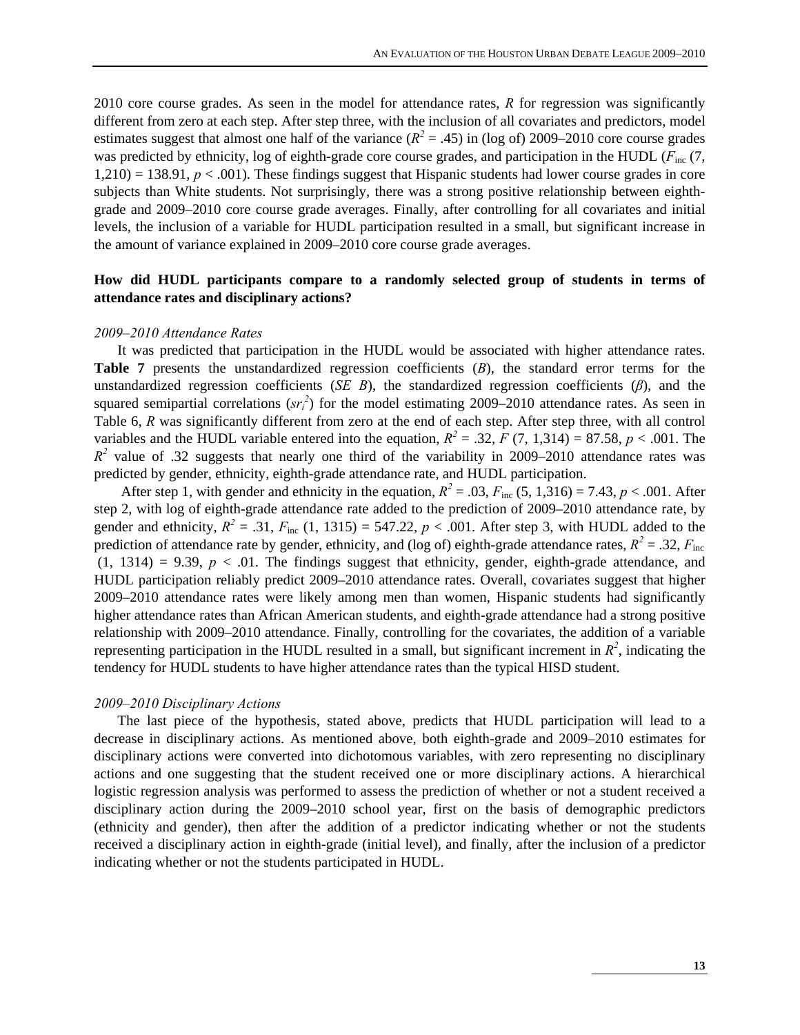2010 core course grades. As seen in the model for attendance rates, *R* for regression was significantly different from zero at each step. After step three, with the inclusion of all covariates and predictors, model estimates suggest that almost one half of the variance  $(R^2 = .45)$  in (log of) 2009–2010 core course grades was predicted by ethnicity, log of eighth-grade core course grades, and participation in the HUDL ( $F_{inc}$  (7,  $1,210$  = 138.91,  $p < .001$ ). These findings suggest that Hispanic students had lower course grades in core subjects than White students. Not surprisingly, there was a strong positive relationship between eighthgrade and 2009–2010 core course grade averages. Finally, after controlling for all covariates and initial levels, the inclusion of a variable for HUDL participation resulted in a small, but significant increase in the amount of variance explained in 2009–2010 core course grade averages.

### **How did HUDL participants compare to a randomly selected group of students in terms of attendance rates and disciplinary actions?**

#### *2009–2010 Attendance Rates*

It was predicted that participation in the HUDL would be associated with higher attendance rates. **Table 7** presents the unstandardized regression coefficients (*B*), the standard error terms for the unstandardized regression coefficients (*SE B*), the standardized regression coefficients (*β*), and the squared semipartial correlations  $(sr_i^2)$  for the model estimating 2009–2010 attendance rates. As seen in Table 6, *R* was significantly different from zero at the end of each step. After step three, with all control variables and the HUDL variable entered into the equation,  $R^2 = .32$ ,  $F(7, 1,314) = 87.58$ ,  $p < .001$ . The  $R^2$  value of .32 suggests that nearly one third of the variability in 2009–2010 attendance rates was predicted by gender, ethnicity, eighth-grade attendance rate, and HUDL participation.

After step 1, with gender and ethnicity in the equation,  $R^2 = .03$ ,  $F_{\text{inc}}(5, 1,316) = 7.43$ ,  $p < .001$ . After step 2, with log of eighth-grade attendance rate added to the prediction of 2009–2010 attendance rate, by gender and ethnicity,  $R^2 = .31$ ,  $F_{inc}$  (1, 1315) = 547.22,  $p < .001$ . After step 3, with HUDL added to the prediction of attendance rate by gender, ethnicity, and (log of) eighth-grade attendance rates,  $R^2 = .32$ ,  $F_{\text{inc}}$  $(1, 1314) = 9.39$ ,  $p < .01$ . The findings suggest that ethnicity, gender, eighth-grade attendance, and HUDL participation reliably predict 2009–2010 attendance rates. Overall, covariates suggest that higher 2009–2010 attendance rates were likely among men than women, Hispanic students had significantly higher attendance rates than African American students, and eighth-grade attendance had a strong positive relationship with 2009–2010 attendance. Finally, controlling for the covariates, the addition of a variable representing participation in the HUDL resulted in a small, but significant increment in  $R^2$ , indicating the tendency for HUDL students to have higher attendance rates than the typical HISD student.

#### *2009–2010 Disciplinary Actions*

The last piece of the hypothesis, stated above, predicts that HUDL participation will lead to a decrease in disciplinary actions. As mentioned above, both eighth-grade and 2009–2010 estimates for disciplinary actions were converted into dichotomous variables, with zero representing no disciplinary actions and one suggesting that the student received one or more disciplinary actions. A hierarchical logistic regression analysis was performed to assess the prediction of whether or not a student received a disciplinary action during the 2009–2010 school year, first on the basis of demographic predictors (ethnicity and gender), then after the addition of a predictor indicating whether or not the students received a disciplinary action in eighth-grade (initial level), and finally, after the inclusion of a predictor indicating whether or not the students participated in HUDL.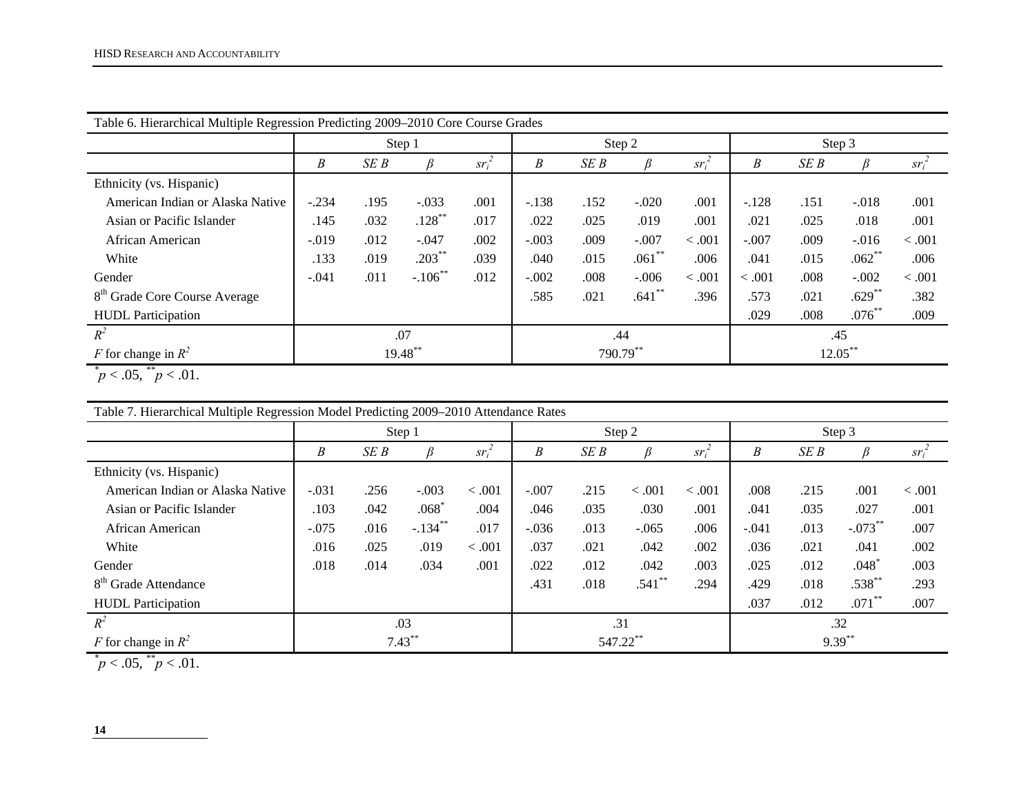| Table 6. Hierarchical Multiple Regression Predicting 2009–2010 Core Course Grades |         |      |            |          |         |      |           |          |         |      |            |          |
|-----------------------------------------------------------------------------------|---------|------|------------|----------|---------|------|-----------|----------|---------|------|------------|----------|
|                                                                                   |         |      | Step 1     |          |         |      | Step 2    |          | Step 3  |      |            |          |
|                                                                                   | B       | SE B | R          | $sr_i^2$ | B       | SE B |           | $sr_i^2$ | Β       | SE B |            | $sr_i^2$ |
| Ethnicity (vs. Hispanic)                                                          |         |      |            |          |         |      |           |          |         |      |            |          |
| American Indian or Alaska Native                                                  | $-.234$ | .195 | $-.033$    | .001     | $-.138$ | .152 | $-.020$   | .001     | $-.128$ | .151 | $-.018$    | .001     |
| Asian or Pacific Islander                                                         | .145    | .032 | $.128***$  | .017     | .022    | .025 | .019      | .001     | .021    | .025 | .018       | .001     |
| African American                                                                  | $-.019$ | .012 | $-.047$    | .002     | $-.003$ | .009 | $-.007$   | < .001   | $-.007$ | .009 | $-.016$    | < .001   |
| White                                                                             | .133    | .019 | $.203***$  | .039     | .040    | .015 | $.061***$ | .006     | .041    | .015 | $.062**$   | .006     |
| Gender                                                                            | $-.041$ | .011 | $-.106$ ** | .012     | $-.002$ | .008 | $-.006$   | < .001   | < 0.001 | .008 | $-.002$    | < .001   |
| 8 <sup>th</sup> Grade Core Course Average                                         |         |      |            |          | .585    | .021 | $.641***$ | .396     | .573    | .021 | $.629**$   | .382     |
| <b>HUDL</b> Participation                                                         |         |      |            |          |         |      |           |          | .029    | .008 | $.076**$   | .009     |
| $R^2$                                                                             | .07     |      |            |          |         |      | .44       |          | .45     |      |            |          |
| F for change in $R^2$                                                             |         |      | 19.48**    |          |         |      | 790.79**  |          |         |      | $12.05***$ |          |

 $\mu^* p < .05$ ,  $\mu^* p < .01$ .

| Table 7. Hierarchical Multiple Regression Model Predicting 2009–2010 Attendance Rates |         |        |                  |          |         |      |          |          |         |      |           |          |
|---------------------------------------------------------------------------------------|---------|--------|------------------|----------|---------|------|----------|----------|---------|------|-----------|----------|
|                                                                                       |         | Step 1 |                  |          |         |      | Step 2   |          |         |      | Step 3    |          |
|                                                                                       | B       | SE B   |                  | $sr_i^2$ | B       | SE B |          | $Sr_i^2$ | B       | SE B |           | $sr_i^2$ |
| Ethnicity (vs. Hispanic)                                                              |         |        |                  |          |         |      |          |          |         |      |           |          |
| American Indian or Alaska Native                                                      | $-.031$ | .256   | $-.003$          | < 0.001  | $-.007$ | .215 | < .001   | < 0.001  | .008    | .215 | .001      | < .001   |
| Asian or Pacific Islander                                                             | .103    | .042   | $.068^{\degree}$ | .004     | .046    | .035 | .030     | .001     | .041    | .035 | .027      | .001     |
| African American                                                                      | $-.075$ | .016   | $-.134$ **       | .017     | $-.036$ | .013 | $-.065$  | .006     | $-.041$ | .013 | $-.073**$ | .007     |
| White                                                                                 | .016    | .025   | .019             | < .001   | .037    | .021 | .042     | .002     | .036    | .021 | .041      | .002     |
| Gender                                                                                | .018    | .014   | .034             | .001     | .022    | .012 | .042     | .003     | .025    | .012 | $.048*$   | .003     |
| 8 <sup>th</sup> Grade Attendance                                                      |         |        |                  |          | .431    | .018 | $.541**$ | .294     | .429    | .018 | $.538***$ | .293     |
| <b>HUDL</b> Participation                                                             |         |        |                  |          |         |      |          |          | .037    | .012 | $.071$ ** | .007     |
| $R^2$                                                                                 |         |        | .03              |          |         | .31  |          |          |         |      | .32       |          |
| F for change in $R^2$                                                                 |         |        | $7.43***$        |          |         |      | 547.22** |          |         |      | $9.39***$ |          |

 $p < .05,$   $\frac{p}{p} < .01$ .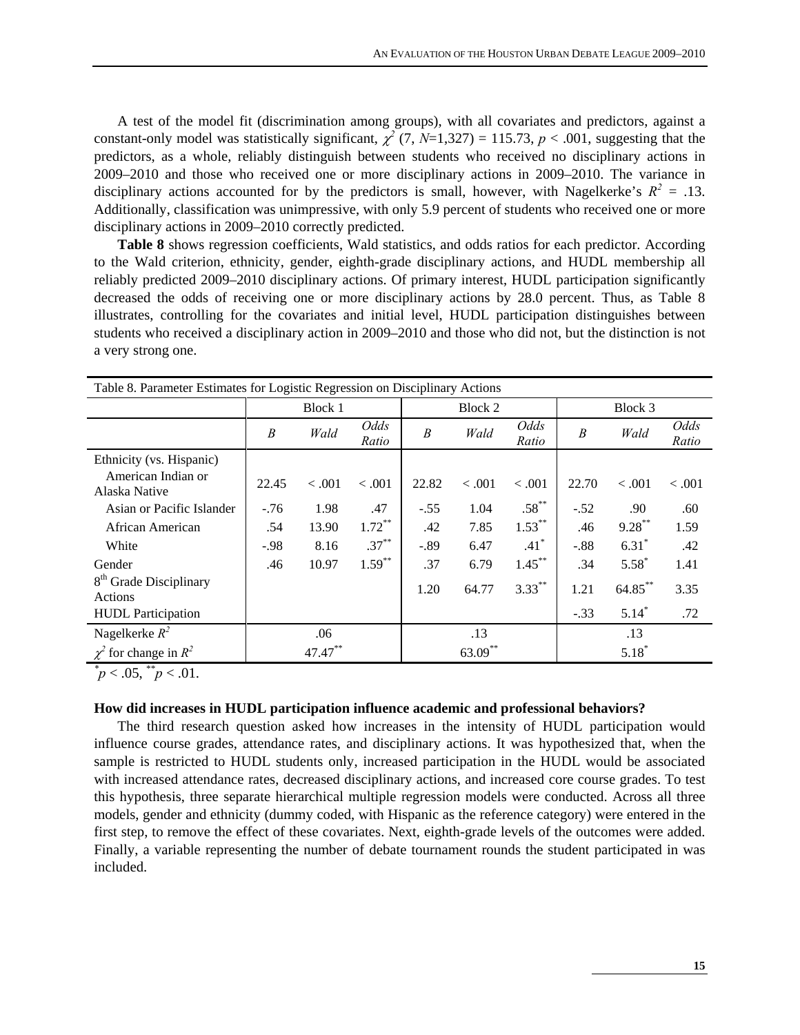A test of the model fit (discrimination among groups), with all covariates and predictors, against a constant-only model was statistically significant,  $\chi^2$  (7, *N*=1,327) = 115.73, *p* < .001, suggesting that the predictors, as a whole, reliably distinguish between students who received no disciplinary actions in 2009–2010 and those who received one or more disciplinary actions in 2009–2010. The variance in disciplinary actions accounted for by the predictors is small, however, with Nagelkerke's  $R^2 = .13$ . Additionally, classification was unimpressive, with only 5.9 percent of students who received one or more disciplinary actions in 2009–2010 correctly predicted.

**Table 8** shows regression coefficients, Wald statistics, and odds ratios for each predictor. According to the Wald criterion, ethnicity, gender, eighth-grade disciplinary actions, and HUDL membership all reliably predicted 2009–2010 disciplinary actions. Of primary interest, HUDL participation significantly decreased the odds of receiving one or more disciplinary actions by 28.0 percent. Thus, as Table 8 illustrates, controlling for the covariates and initial level, HUDL participation distinguishes between students who received a disciplinary action in 2009–2010 and those who did not, but the distinction is not a very strong one.

|                                               |        | Table 8. Parameter Estimates for Logistic Regression on Disciplinary Actions |               |                  |         |                    |        |           |               |  |  |
|-----------------------------------------------|--------|------------------------------------------------------------------------------|---------------|------------------|---------|--------------------|--------|-----------|---------------|--|--|
|                                               |        | Block 1                                                                      |               |                  | Block 2 |                    |        | Block 3   |               |  |  |
|                                               | B      | Wald                                                                         | Odds<br>Ratio | $\boldsymbol{B}$ | Wald    | Odds<br>Ratio      | B      | Wald      | Odds<br>Ratio |  |  |
| Ethnicity (vs. Hispanic)                      |        |                                                                              |               |                  |         |                    |        |           |               |  |  |
| American Indian or<br>Alaska Native           | 22.45  | < 0.001                                                                      | < 0.001       | 22.82            | < 0.001 | < 0.001            | 22.70  | < 0.001   | < 0.001       |  |  |
| Asian or Pacific Islander                     | $-76$  | 1.98                                                                         | .47           | $-.55$           | 1.04    | $.58***$           | $-.52$ | .90       | .60           |  |  |
| African American                              | .54    | 13.90                                                                        | $1.72***$     | .42              | 7.85    | $1.53***$          | .46    | $9.28***$ | 1.59          |  |  |
| White                                         | $-.98$ | 8.16                                                                         | $.37***$      | $-.89$           | 6.47    | $.41$ <sup>*</sup> | $-.88$ | $6.31*$   | .42           |  |  |
| Gender                                        | .46    | 10.97                                                                        | $1.59***$     | .37              | 6.79    | $1.45***$          | .34    | $5.58*$   | 1.41          |  |  |
| 8 <sup>th</sup> Grade Disciplinary<br>Actions |        |                                                                              |               | 1.20             | 64.77   | $3.33***$          | 1.21   | 64.85**   | 3.35          |  |  |
| <b>HUDL</b> Participation                     |        |                                                                              |               |                  |         |                    | $-.33$ | $5.14*$   | .72           |  |  |
| Nagelkerke $R^2$                              |        | .06                                                                          |               |                  | .13     |                    |        | .13       |               |  |  |
| $\chi^2$ for change in $R^2$                  |        | 47.47**                                                                      |               |                  | 63.09** |                    |        | $5.18*$   |               |  |  |

 $p < .05$ ,  $p < .01$ .

#### **How did increases in HUDL participation influence academic and professional behaviors?**

 The third research question asked how increases in the intensity of HUDL participation would influence course grades, attendance rates, and disciplinary actions. It was hypothesized that, when the sample is restricted to HUDL students only, increased participation in the HUDL would be associated with increased attendance rates, decreased disciplinary actions, and increased core course grades. To test this hypothesis, three separate hierarchical multiple regression models were conducted. Across all three models, gender and ethnicity (dummy coded, with Hispanic as the reference category) were entered in the first step, to remove the effect of these covariates. Next, eighth-grade levels of the outcomes were added. Finally, a variable representing the number of debate tournament rounds the student participated in was included.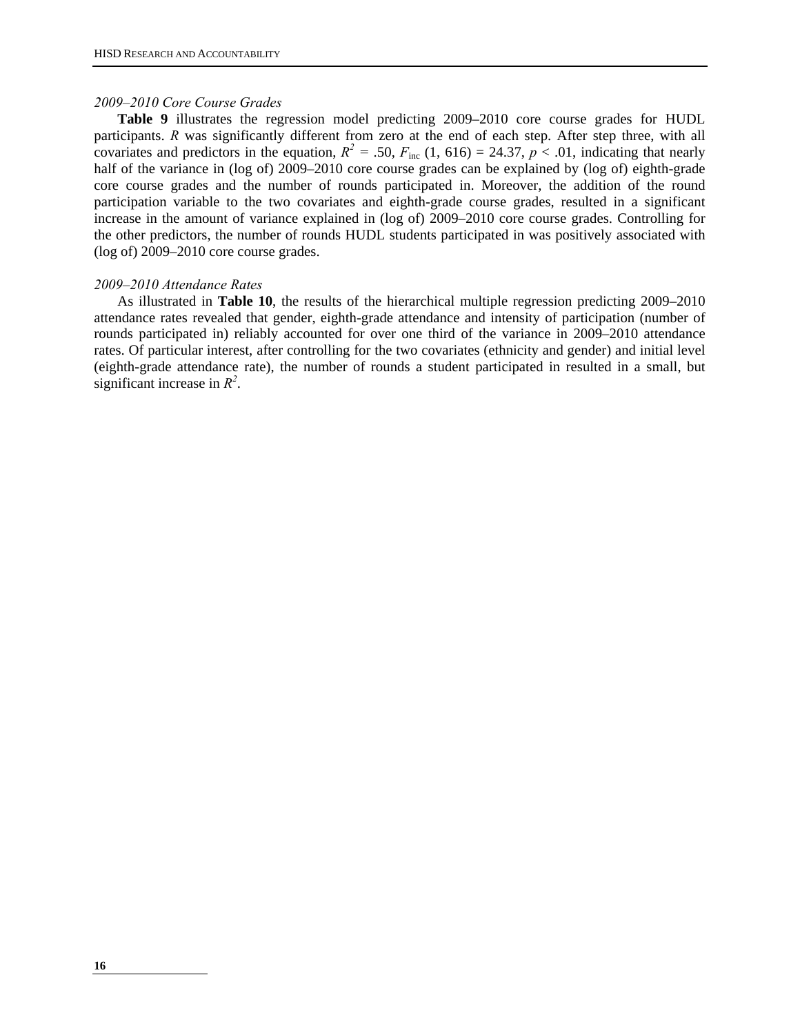#### *2009–2010 Core Course Grades*

**Table 9** illustrates the regression model predicting 2009–2010 core course grades for HUDL participants. *R* was significantly different from zero at the end of each step. After step three, with all covariates and predictors in the equation,  $R^2 = .50$ ,  $F_{\text{inc}}$  (1, 616) = 24.37,  $p < .01$ , indicating that nearly half of the variance in (log of) 2009–2010 core course grades can be explained by (log of) eighth-grade core course grades and the number of rounds participated in. Moreover, the addition of the round participation variable to the two covariates and eighth-grade course grades, resulted in a significant increase in the amount of variance explained in (log of) 2009–2010 core course grades. Controlling for the other predictors, the number of rounds HUDL students participated in was positively associated with (log of) 2009–2010 core course grades.

#### *2009–2010 Attendance Rates*

As illustrated in **Table 10**, the results of the hierarchical multiple regression predicting 2009–2010 attendance rates revealed that gender, eighth-grade attendance and intensity of participation (number of rounds participated in) reliably accounted for over one third of the variance in 2009–2010 attendance rates. Of particular interest, after controlling for the two covariates (ethnicity and gender) and initial level (eighth-grade attendance rate), the number of rounds a student participated in resulted in a small, but significant increase in *R<sup>2</sup>* .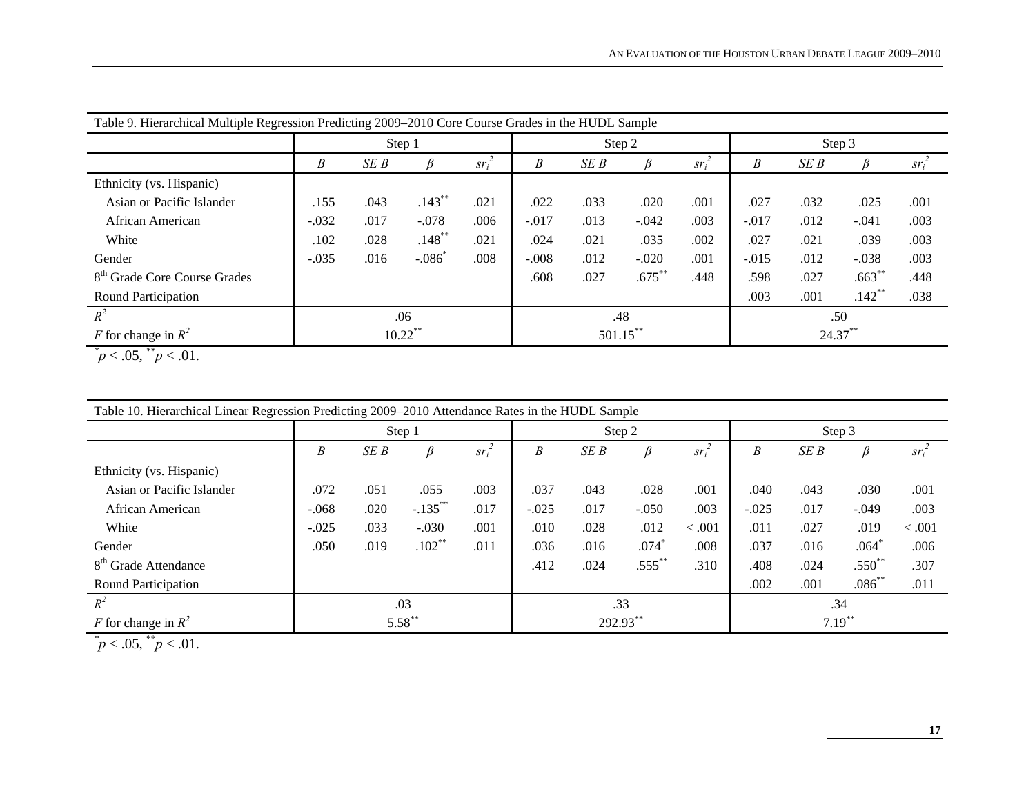| Table 9. Hierarchical Multiple Regression Predicting 2009–2010 Core Course Grades in the HUDL Sample |         |        |            |          |         |      |             |          |         |            |           |          |  |
|------------------------------------------------------------------------------------------------------|---------|--------|------------|----------|---------|------|-------------|----------|---------|------------|-----------|----------|--|
|                                                                                                      |         | Step 1 |            |          |         |      | Step 2      |          |         | Step 3     |           |          |  |
|                                                                                                      | B       | SEB    | ß          | $sr_i^2$ | B       | SE B |             | $sr_i^2$ | B       | SE B       |           | $sr_i^2$ |  |
| Ethnicity (vs. Hispanic)                                                                             |         |        |            |          |         |      |             |          |         |            |           |          |  |
| Asian or Pacific Islander                                                                            | .155    | .043   | $.143***$  | .021     | .022    | .033 | .020        | .001     | .027    | .032       | .025      | .001     |  |
| African American                                                                                     | $-.032$ | .017   | $-.078$    | .006     | $-.017$ | .013 | $-.042$     | .003     | $-.017$ | .012       | $-.041$   | .003     |  |
| White                                                                                                | .102    | .028   | $.148***$  | .021     | .024    | .021 | .035        | .002     | .027    | .021       | .039      | .003     |  |
| Gender                                                                                               | $-.035$ | .016   | $-.086*$   | .008     | $-.008$ | .012 | $-.020$     | .001     | $-.015$ | .012       | $-.038$   | .003     |  |
| 8 <sup>th</sup> Grade Core Course Grades                                                             |         |        |            |          | .608    | .027 | $.675***$   | .448     | .598    | .027       | $.663***$ | .448     |  |
| Round Participation                                                                                  |         |        |            |          |         |      |             |          | .003    | .001       | $.142***$ | .038     |  |
| $R^2$                                                                                                |         |        | .06        |          |         |      | .48         |          |         | .50        |           |          |  |
| F for change in $R^2$                                                                                |         |        | $10.22$ ** |          |         |      | $501.15***$ |          |         | $24.37***$ |           |          |  |

 $p < .05$ ,  $p < .01$ .

|                                  |         | Step 1    |            |          |         | Step 2   |                     |          |           | Step 3 |             |          |  |
|----------------------------------|---------|-----------|------------|----------|---------|----------|---------------------|----------|-----------|--------|-------------|----------|--|
|                                  | B       | SE B      |            | $ST_i^2$ | B       | SE B     |                     | $sr_i^2$ | B         | SE B   |             | $sr_i^2$ |  |
| Ethnicity (vs. Hispanic)         |         |           |            |          |         |          |                     |          |           |        |             |          |  |
| Asian or Pacific Islander        | .072    | .051      | .055       | .003     | .037    | .043     | .028                | .001     | .040      | .043   | .030        | .001     |  |
| African American                 | $-.068$ | .020      | $-.135***$ | .017     | $-.025$ | .017     | $-.050$             | .003     | $-.025$   | .017   | $-.049$     | .003     |  |
| White                            | $-.025$ | .033      | $-.030$    | .001     | .010    | .028     | .012                | < 0.001  | .011      | .027   | .019        | < 0.001  |  |
| Gender                           | .050    | .019      | $.102***$  | .011     | .036    | .016     | $.074$ <sup>*</sup> | .008     | .037      | .016   | .064        | .006     |  |
| 8 <sup>th</sup> Grade Attendance |         |           |            |          | .412    | .024     | $.555***$           | .310     | .408      | .024   | $.550^{**}$ | .307     |  |
| <b>Round Participation</b>       |         |           |            |          |         |          |                     |          | .002      | .001   | $.086^{**}$ | .011     |  |
| $R^2$                            | .03     |           |            |          |         |          | .33                 |          |           |        | .34         |          |  |
| F for change in $R^2$            |         | $5.58***$ |            |          |         | 292.93** |                     |          | $7.19***$ |        |             |          |  |

 $\mu^* p < .05$ ,  $\mu^* p < .01$ .

<u>and the state of the state</u>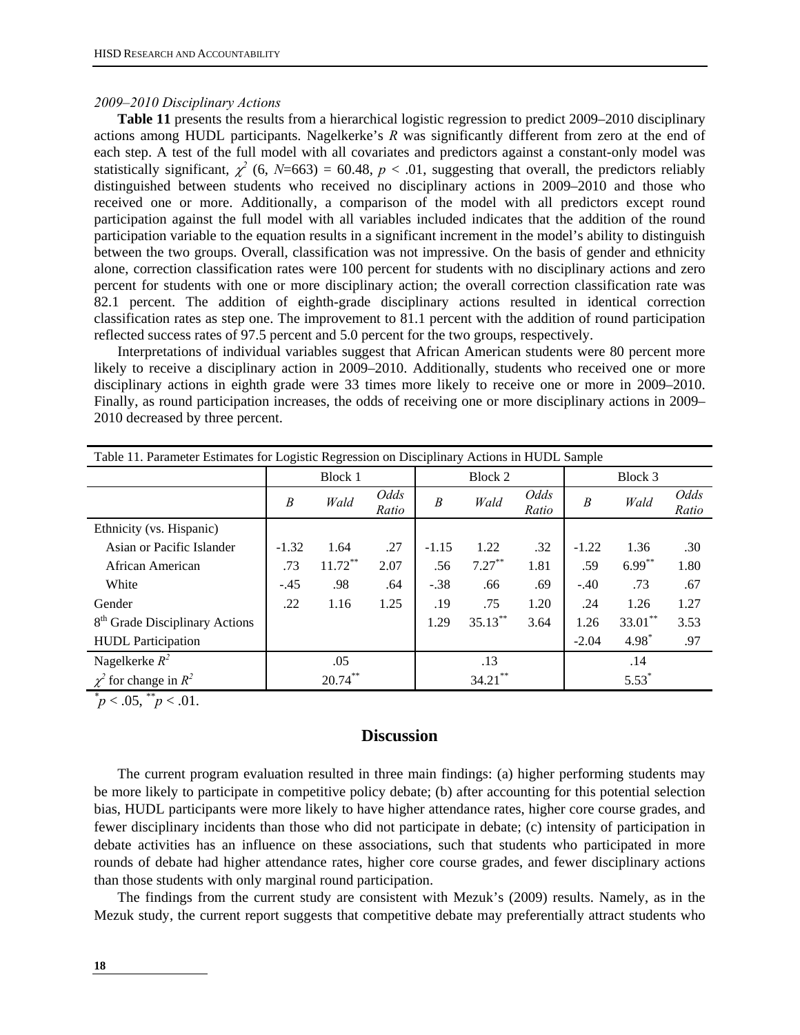#### *2009–2010 Disciplinary Actions*

**Table 11** presents the results from a hierarchical logistic regression to predict 2009–2010 disciplinary actions among HUDL participants. Nagelkerke's *R* was significantly different from zero at the end of each step. A test of the full model with all covariates and predictors against a constant-only model was statistically significant,  $\chi^2$  (6, *N*=663) = 60.48, *p* < .01, suggesting that overall, the predictors reliably distinguished between students who received no disciplinary actions in 2009–2010 and those who received one or more. Additionally, a comparison of the model with all predictors except round participation against the full model with all variables included indicates that the addition of the round participation variable to the equation results in a significant increment in the model's ability to distinguish between the two groups. Overall, classification was not impressive. On the basis of gender and ethnicity alone, correction classification rates were 100 percent for students with no disciplinary actions and zero percent for students with one or more disciplinary action; the overall correction classification rate was 82.1 percent. The addition of eighth-grade disciplinary actions resulted in identical correction classification rates as step one. The improvement to 81.1 percent with the addition of round participation reflected success rates of 97.5 percent and 5.0 percent for the two groups, respectively.

 Interpretations of individual variables suggest that African American students were 80 percent more likely to receive a disciplinary action in 2009–2010. Additionally, students who received one or more disciplinary actions in eighth grade were 33 times more likely to receive one or more in 2009–2010. Finally, as round participation increases, the odds of receiving one or more disciplinary actions in 2009– 2010 decreased by three percent.

| Table 11. Parameter Estimates for Logistic Regression on Disciplinary Actions in HUDL Sample |            |               |         |            |               |                  |            |               |  |  |  |
|----------------------------------------------------------------------------------------------|------------|---------------|---------|------------|---------------|------------------|------------|---------------|--|--|--|
|                                                                                              | Block 1    |               |         | Block 2    |               |                  | Block 3    |               |  |  |  |
| B                                                                                            | Wald       | Odds<br>Ratio | B       | Wald       | Odds<br>Ratio | $\boldsymbol{B}$ | Wald       | Odds<br>Ratio |  |  |  |
|                                                                                              |            |               |         |            |               |                  |            |               |  |  |  |
| $-1.32$                                                                                      | 1.64       | .27           | $-1.15$ | 1.22       | .32           | $-1.22$          | 1.36       | .30           |  |  |  |
| .73                                                                                          | $11.72***$ | 2.07          | .56     | $7.27***$  | 1.81          | .59              | $6.99***$  | 1.80          |  |  |  |
| $-.45$                                                                                       | .98        | .64           | $-.38$  | .66        | .69           | $-.40$           | .73        | .67           |  |  |  |
| .22                                                                                          | 1.16       | 1.25          | .19     | .75        | 1.20          | .24              | 1.26       | 1.27          |  |  |  |
|                                                                                              |            |               | 1.29    | $35.13***$ | 3.64          | 1.26             | $33.01***$ | 3.53          |  |  |  |
|                                                                                              |            |               |         |            |               | $-2.04$          | $4.98*$    | .97           |  |  |  |
|                                                                                              | .05        |               |         | .13        |               |                  | .14        |               |  |  |  |
|                                                                                              | $20.74***$ |               |         | $34.21$ ** |               |                  | $5.53*$    |               |  |  |  |
|                                                                                              |            |               |         |            |               |                  |            |               |  |  |  |

 $p^*$  < .05,  $p^*$  /  $p$  < .01.

# **Discussion**

The current program evaluation resulted in three main findings: (a) higher performing students may be more likely to participate in competitive policy debate; (b) after accounting for this potential selection bias, HUDL participants were more likely to have higher attendance rates, higher core course grades, and fewer disciplinary incidents than those who did not participate in debate; (c) intensity of participation in debate activities has an influence on these associations, such that students who participated in more rounds of debate had higher attendance rates, higher core course grades, and fewer disciplinary actions than those students with only marginal round participation.

The findings from the current study are consistent with Mezuk's (2009) results. Namely, as in the Mezuk study, the current report suggests that competitive debate may preferentially attract students who